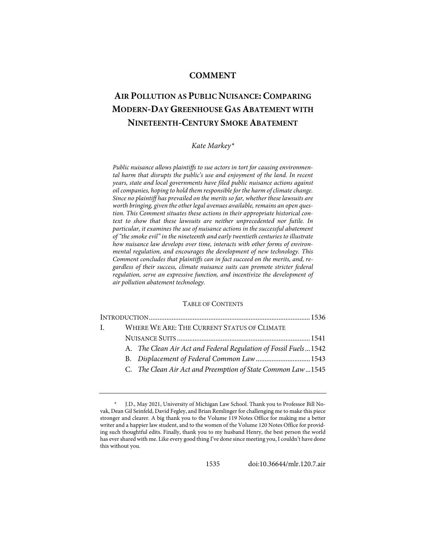# **COMMENT**

# **AIR POLLUTION AS PUBLIC NUISANCE: COMPARING MODERN-DAY GREENHOUSE GAS ABATEMENT WITH NINETEENTH-CENTURY SMOKE ABATEMENT**

# *Kate Markey[\\*](#page-0-0)*

*Public nuisance allows plaintiffs to sue actors in tort for causing environmental harm that disrupts the public's use and enjoyment of the land. In recent years, state and local governments have filed public nuisance actions against oil companies, hoping to hold them responsible for the harm of climate change. Since no plaintiff has prevailed on the merits so far, whether these lawsuits are worth bringing, given the other legal avenues available, remains an open question. This Comment situates these actions in their appropriate historical context to show that these lawsuits are neither unprecedented nor futile. In particular, it examines the use of nuisance actions in the successful abatement of "the smoke evil" in the nineteenth and early twentieth centuries to illustrate how nuisance law develops over time, interacts with other forms of environmental regulation, and encourages the development of new technology. This Comment concludes that plaintiffs can in fact succeed on the merits, and, regardless of their success, climate nuisance suits can promote stricter federal regulation, serve an expressive function, and incentivize the development of air pollution abatement technology.*

# TABLE OF CONTENTS

| $\mathbf{L}$ |  | WHERE WE ARE: THE CURRENT STATUS OF CLIMATE                     |  |
|--------------|--|-----------------------------------------------------------------|--|
|              |  |                                                                 |  |
|              |  | A. The Clean Air Act and Federal Regulation of Fossil Fuels1542 |  |
|              |  |                                                                 |  |
|              |  | C. The Clean Air Act and Preemption of State Common Law1545     |  |
|              |  |                                                                 |  |

1535 doi[:10.36644/mlr.120.7.air](https://doi.org/10.36644/mlr.120.7.air)

<span id="page-0-0"></span><sup>\*</sup> J.D., May 2021, University of Michigan Law School. Thank you to Professor Bill Novak, Dean Gil Seinfeld, David Fegley, and Brian Remlinger for challenging me to make this piece stronger and clearer. A big thank you to the Volume 119 Notes Office for making me a better writer and a happier law student, and to the women of the Volume 120 Notes Office for providing such thoughtful edits. Finally, thank you to my husband Henry, the best person the world has ever shared with me. Like every good thing I've done since meeting you, I couldn't have done this without you.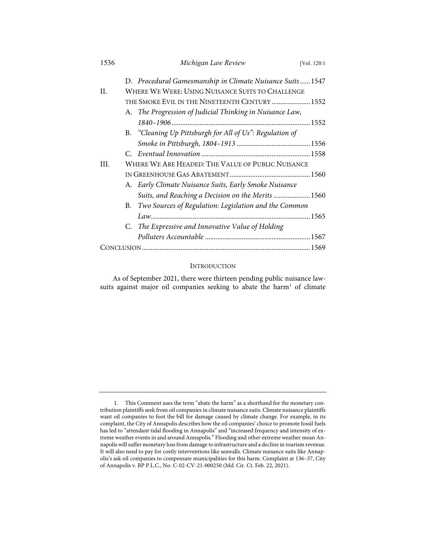| 1536 | Michigan Law Review                                                                                           | [Vol. 120:1] |  |  |  |
|------|---------------------------------------------------------------------------------------------------------------|--------------|--|--|--|
| II.  | D. Procedural Gamesmanship in Climate Nuisance Suits 1547<br>WHERE WE WERE: USING NUISANCE SUITS TO CHALLENGE |              |  |  |  |
|      | THE SMOKE EVIL IN THE NINETEENTH CENTURY  1552                                                                |              |  |  |  |
|      | A. The Progression of Judicial Thinking in Nuisance Law,                                                      |              |  |  |  |
|      |                                                                                                               |              |  |  |  |
|      | B. "Cleaning Up Pittsburgh for All of Us": Regulation of                                                      |              |  |  |  |
|      |                                                                                                               |              |  |  |  |
|      |                                                                                                               |              |  |  |  |
| III. | WHERE WE ARE HEADED: THE VALUE OF PUBLIC NUISANCE                                                             |              |  |  |  |
|      |                                                                                                               |              |  |  |  |
|      | A. Early Climate Nuisance Suits, Early Smoke Nuisance                                                         |              |  |  |  |
|      | Suits, and Reaching a Decision on the Merits  1560                                                            |              |  |  |  |
|      | Two Sources of Regulation: Legislation and the Common<br>B.                                                   |              |  |  |  |
|      |                                                                                                               |              |  |  |  |
|      | C. The Expressive and Innovative Value of Holding                                                             |              |  |  |  |
|      |                                                                                                               |              |  |  |  |
|      |                                                                                                               |              |  |  |  |

## INTRODUCTION

As of September 2021, there were thirteen pending public nuisance law-suits against major oil companies seeking to abate the harm<sup>[1](#page-1-0)</sup> of climate

<span id="page-1-0"></span> <sup>1.</sup> This Comment uses the term "abate the harm" as a shorthand for the monetary contribution plaintiffs seek from oil companies in climate nuisance suits. Climate nuisance plaintiffs want oil companies to foot the bill for damage caused by climate change. For example, in its complaint, the City of Annapolis describes how the oil companies' choice to promote fossil fuels has led to "attendant tidal flooding in Annapolis" and "increased frequency and intensity of extreme weather events in and around Annapolis." Flooding and other extreme weather mean Annapolis will suffer monetary loss from damage to infrastructure and a decline in tourism revenue. It will also need to pay for costly interventions like seawalls. Climate nuisance suits like Annapolis's ask oil companies to compensate municipalities for this harm. Complaint at 136–37, City of Annapolis v. BP P.L.C., No. C-02-CV-21-000250 (Md. Cir. Ct. Feb. 22, 2021).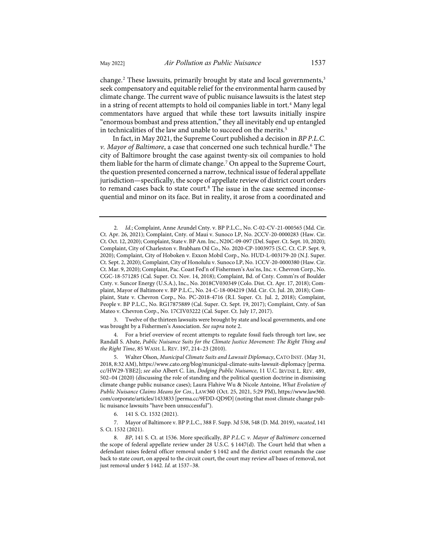<span id="page-2-0"></span>change.<sup>[2](#page-2-1)</sup> These lawsuits, primarily brought by state and local governments,<sup>[3](#page-2-2)</sup> seek compensatory and equitable relief for the environmental harm caused by climate change. The current wave of public nuisance lawsuits is the latest step in a string of recent attempts to hold oil companies liable in tort.<sup>[4](#page-2-3)</sup> Many legal commentators have argued that while these tort lawsuits initially inspire "enormous bombast and press attention," they all inevitably end up entangled in technicalities of the law and unable to succeed on the merits.<sup>[5](#page-2-4)</sup>

In fact, in May 2021, the Supreme Court published a decision in *BP P.L.C. v. Mayor of Baltimore*, a case that concerned one such technical hurdle.[6](#page-2-5) The city of Baltimore brought the case against twenty-six oil companies to hold them liable for the harm of climate change.<sup>[7](#page-2-6)</sup> On appeal to the Supreme Court, the question presented concerned a narrow, technical issue of federal appellate jurisdiction—specifically, the scope of appellate review of district court orders to remand cases back to state court.<sup>[8](#page-2-7)</sup> The issue in the case seemed inconsequential and minor on its face. But in reality, it arose from a coordinated and

<span id="page-2-2"></span> 3. Twelve of the thirteen lawsuits were brought by state and local governments, and one was brought by a Fishermen's Association. *See supra* not[e 2.](#page-2-0) 

<span id="page-2-3"></span> 4. For a brief overview of recent attempts to regulate fossil fuels through tort law, see Randall S. Abate, *Public Nuisance Suits for the Climate Justice Movement: The Right Thing and the Right Time*, 85 WASH. L. REV. 197, 214–23 (2010).

<span id="page-2-4"></span> 5. Walter Olson, *Municipal Climate Suits and Lawsuit Diplomacy*, CATO INST. (May 31, 2018, 8:32 AM)[, https://www.cato.org/blog/municipal-climate-suits-lawsuit-diplomacy](https://www.cato.org/blog/municipal-climate-suits-lawsuit-diplomacy) [\[perma.](https://perma.cc/HW29-YBE2) [cc/HW29-YBE2\]](https://perma.cc/HW29-YBE2); *see also* Albert C. Lin, *Dodging Public Nuisance*, 11 U.C. IRVINE L. REV. 489, 502–04 (2020) (discussing the role of standing and the political question doctrine in dismissing climate change public nuisance cases); Laura Flahive Wu & Nicole Antoine, *What Evolution of Public Nuisance Claims Means for Cos.*, LAW360 (Oct. 25, 2021, 5:29 PM), [https://www.law360.](https://www.law360.com/corporate/articles/1433833) [com/corporate/articles/1433833](https://www.law360.com/corporate/articles/1433833) [\[perma.cc/9FDD-QD9D\]](https://perma.cc/9FDD-QD9D) (noting that most climate change public nuisance lawsuits "have been unsuccessful").

6. 141 S. Ct. 1532 (2021).

<span id="page-2-6"></span><span id="page-2-5"></span> 7. Mayor of Baltimore v. BP P.L.C., 388 F. Supp. 3d 538, 548 (D. Md. 2019), *vacated*, 141 S. Ct. 1532 (2021).

<span id="page-2-7"></span> 8. *BP*, 141 S. Ct. at 1536. More specifically, *BP P.L.C. v. Mayor of Baltimore* concerned the scope of federal appellate review under 28 U.S.C. § 1447(d). The Court held that when a defendant raises federal officer removal under § 1442 and the district court remands the case back to state court, on appeal to the circuit court, the court may review *all* bases of removal, not just removal under § 1442. *Id.* at 1537–38.

<span id="page-2-1"></span> <sup>2.</sup> *Id.*; Complaint, Anne Arundel Cnty. v. BP P.L.C., No. C-02-CV-21-000565 (Md. Cir. Ct. Apr. 26, 2021); Complaint, Cnty. of Maui v. Sunoco LP, No. 2CCV-20-0000283 (Haw. Cir. Ct. Oct. 12, 2020); Complaint, State v. BP Am. Inc., N20C-09-097 (Del. Super. Ct. Sept. 10, 2020); Complaint, City of Charleston v. Brabham Oil Co., No. 2020-CP-1003975 (S.C. Ct. C.P. Sept. 9, 2020); Complaint, City of Hoboken v. Exxon Mobil Corp., No. HUD-L-003179-20 (N.J. Super. Ct. Sept. 2, 2020); Complaint, City of Honolulu v. Sunoco LP, No. 1CCV-20-0000380 (Haw. Cir. Ct. Mar. 9, 2020); Complaint, Pac. Coast Fed'n of Fishermen's Ass'ns, Inc. v. Chevron Corp., No. CGC-18-571285 (Cal. Super. Ct. Nov. 14, 2018); Complaint, Bd. of Cnty. Comm'rs of Boulder Cnty. v. Suncor Energy (U.S.A.), Inc., No. 2018CV030349 (Colo. Dist. Ct. Apr. 17, 2018); Complaint, Mayor of Baltimore v. BP P.L.C., No. 24-C-18-004219 (Md. Cir. Ct. Jul. 20, 2018); Complaint, State v. Chevron Corp., No. PC-2018-4716 (R.I. Super. Ct. Jul. 2, 2018); Complaint, People v. BP P.L.C., No. RG17875889 (Cal. Super. Ct. Sept. 19, 2017); Complaint, Cnty. of San Mateo v. Chevron Corp., No. 17CIV03222 (Cal. Super. Ct. July 17, 2017).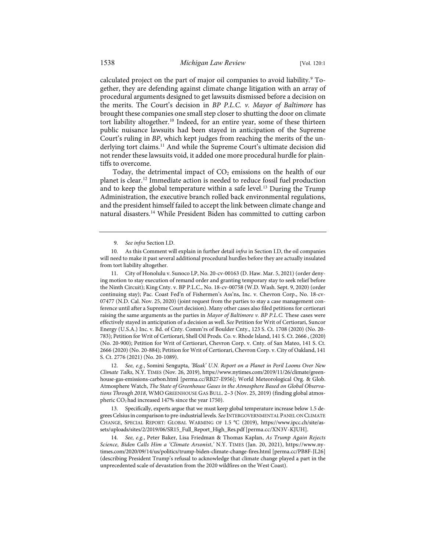calculated project on the part of major oil companies to avoid liability.<sup>[9](#page-3-0)</sup> Together, they are defending against climate change litigation with an array of procedural arguments designed to get lawsuits dismissed before a decision on the merits. The Court's decision in *BP P.L.C. v. Mayor of Baltimore* has brought these companies one small step closer to shutting the door on climate tort liability altogether.<sup>[10](#page-3-1)</sup> Indeed, for an entire year, some of these thirteen public nuisance lawsuits had been stayed in anticipation of the Supreme Court's ruling in *BP*, which kept judges from reaching the merits of the underlying tort claims.<sup>11</sup> And while the Supreme Court's ultimate decision did not render these lawsuits void, it added one more procedural hurdle for plaintiffs to overcome.

Today, the detrimental impact of  $CO<sub>2</sub>$  emissions on the health of our planet is clear[.12](#page-3-3) Immediate action is needed to reduce fossil fuel production and to keep the global temperature within a safe level.<sup>[13](#page-3-4)</sup> During the Trump Administration, the executive branch rolled back environmental regulations, and the president himself failed to accept the link between climate change and natural disasters.[14](#page-3-5) While President Biden has committed to cutting carbon

<span id="page-3-2"></span>11. City of Honolulu v. Sunoco LP, No. 20-cv-00163 (D. Haw. Mar. 5, 2021) (order denying motion to stay execution of remand order and granting temporary stay to seek relief before the Ninth Circuit); King Cnty. v. BP P.L.C., No. 18-cv-00758 (W.D. Wash. Sept. 9, 2020) (order continuing stay); Pac. Coast Fed'n of Fishermen's Ass'ns, Inc. v. Chevron Corp., No. 18-cv-07477 (N.D. Cal. Nov. 25, 2020) (joint request from the parties to stay a case management conference until after a Supreme Court decision). Many other cases also filed petitions for certiorari raising the same arguments as the parties in *Mayor of Baltimore v. BP P.L.C*. These cases were effectively stayed in anticipation of a decision as well. *See* Petition for Writ of Certiorari, Suncor Energy (U.S.A.) Inc. v. Bd. of Cnty. Comm'rs of Boulder Cnty., 123 S. Ct. 1708 (2020) (No. 20- 783); Petition for Writ of Certiorari, Shell Oil Prods. Co. v. Rhode Island, 141 S. Ct. 2666 , (2020) (No. 20-900); Petition for Writ of Certiorari, Chevron Corp. v. Cnty. of San Mateo, 141 S. Ct. 2666 (2020) (No. 20-884); Petition for Writ of Certiorari, Chevron Corp. v. City of Oakland, 141 S. Ct. 2776 (2021) (No. 20-1089).

<span id="page-3-3"></span>12. *See, e.g.*, Somini Sengupta, *'Bleak' U.N. Report on a Planet in Peril Looms Over New Climate Talks*, N.Y. TIMES (Nov. 26, 2019), [https://www.nytimes.com/2019/11/26/climate/green](https://www.nytimes.com/2019/11/26/climate/greenhouse-gas-emissions-carbon.html)[house-gas-emissions-carbon.html](https://www.nytimes.com/2019/11/26/climate/greenhouse-gas-emissions-carbon.html) [\[perma.cc/RB27-E956\]](https://perma.cc/RB27-E956); World Meteorological Org. & Glob. Atmosphere Watch, *The State of Greenhouse Gases in the Atmosphere Based on Global Observations Through 2018*, WMO GREENHOUSE GAS BULL. 2–3 (Nov. 25, 2019) (finding global atmospheric CO2 had increased 147% since the year 1750).

<span id="page-3-4"></span>13. Specifically, experts argue that we must keep global temperature increase below 1.5 degrees Celsius in comparison to pre-industrial levels. *See* INTERGOVERNMENTAL PANEL ON CLIMATE CHANGE, SPECIAL REPORT: GLOBAL WARMING OF 1.5 °C (2019), [https://www.ipcc.ch/site/as](https://www.ipcc.ch/site/assets/uploads/sites/2/2019/06/SR15_Full_Report_High_Res.pdf)[sets/uploads/sites/2/2019/06/SR15\\_Full\\_Report\\_High\\_Res.pdf](https://www.ipcc.ch/site/assets/uploads/sites/2/2019/06/SR15_Full_Report_High_Res.pdf) [\[perma.cc/XN3V-KJUH\]](https://perma.cc/XN3V-KJUH).

<span id="page-3-5"></span>14. *See, e.g.*, Peter Baker, Lisa Friedman & Thomas Kaplan, *As Trump Again Rejects Science, Biden Calls Him a 'Climate Arsonist*,*'* N.Y. TIMES (Jan. 20, 2021), [https://www.ny](https://www.nytimes.com/2020/09/14/us/politics/trump-biden-climate-change-fires.html)[times.com/2020/09/14/us/politics/trump-biden-climate-change-fires.html](https://www.nytimes.com/2020/09/14/us/politics/trump-biden-climate-change-fires.html) [\[perma.cc/PB8F-JL26\]](https://perma.cc/PB8F-JL26) (describing President Trump's refusal to acknowledge that climate change played a part in the unprecedented scale of devastation from the 2020 wildfires on the West Coast).

 <sup>9.</sup> *See infra* Section I.D.

<span id="page-3-1"></span><span id="page-3-0"></span><sup>10.</sup> As this Comment will explain in further detail *infra* in Section I.D, the oil companies will need to make it past several additional procedural hurdles before they are actually insulated from tort liability altogether.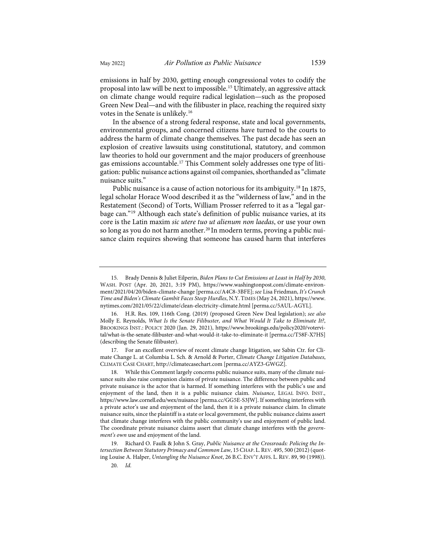emissions in half by 2030, getting enough congressional votes to codify the proposal into law will be next to impossible.[15](#page-4-0) Ultimately, an aggressive attack on climate change would require radical legislation—such as the proposed Green New Deal—and with the filibuster in place, reaching the required sixty votes in the Senate is unlikely.[16](#page-4-1)

In the absence of a strong federal response, state and local governments, environmental groups, and concerned citizens have turned to the courts to address the harm of climate change themselves. The past decade has seen an explosion of creative lawsuits using constitutional, statutory, and common law theories to hold our government and the major producers of greenhouse gas emissions accountable[.17](#page-4-2) This Comment solely addresses one type of litigation: public nuisance actions against oil companies, shorthanded as "climate nuisance suits."

<span id="page-4-6"></span>Public nuisance is a cause of action notorious for its ambiguity.<sup>[18](#page-4-3)</sup> In 1875, legal scholar Horace Wood described it as the "wilderness of law," and in the Restatement (Second) of Torts, William Prosser referred to it as a "legal garbage can."[19](#page-4-4) Although each state's definition of public nuisance varies, at its core is the Latin maxim *sic utere tuo ut alienum non laedas*, or use your own so long as you do not harm another.<sup>[20](#page-4-5)</sup> In modern terms, proving a public nuisance claim requires showing that someone has caused harm that interferes

<span id="page-4-0"></span><sup>15.</sup> Brady Dennis & Juliet Eilperin, *Biden Plans to Cut Emissions at Least in Half by 2030*, WASH. POST (Apr. 20, 2021, 3:19 PM), [https://www.washingtonpost.com/climate-environ](https://www.washingtonpost.com/climate-environment/2021/04/20/biden-climate-change/)[ment/2021/04/20/biden-climate-change](https://www.washingtonpost.com/climate-environment/2021/04/20/biden-climate-change/) [\[perma.cc/A4C8-3BFE\]](https://perma.cc/A4C8-3BFE); *see* Lisa Friedman, *It's Crunch Time and Biden's Climate Gambit Faces Steep Hurdles*, N.Y. TIMES (May 24, 2021)[, https://www.](https://www.nytimes.com/2021/05/22/climate/clean-electricity-climate.html) [nytimes.com/2021/05/22/climate/clean-electricity-climate.html](https://www.nytimes.com/2021/05/22/climate/clean-electricity-climate.html) [\[perma.cc/5AUL-AGYL\]](https://perma.cc/5AUL-AGYL).

<span id="page-4-1"></span><sup>16.</sup> H.R. Res. 109, 116th Cong. (2019) (proposed Green New Deal legislation); *see also* Molly E. Reynolds, *What Is the Senate Filibuster, and What Would It Take to Eliminate It?*, BROOKINGS INST.: POLICY 2020 (Jan. 29, 2021), [https://www.brookings.edu/policy2020/votervi](https://www.brookings.edu/policy2020/votervital/what-is-the-senate-filibuster-and-what-would-it-take-to-eliminate-it/)[tal/what-is-the-senate-filibuster-and-what-would-it-take-to-eliminate-it](https://www.brookings.edu/policy2020/votervital/what-is-the-senate-filibuster-and-what-would-it-take-to-eliminate-it/) [\[perma.cc/T58F-X7HS\]](https://perma.cc/T58F-X7HS) (describing the Senate filibuster).

<span id="page-4-2"></span><sup>17.</sup> For an excellent overview of recent climate change litigation, see Sabin Ctr. for Climate Change L. at Columbia L. Sch. & Arnold & Porter, *Climate Change Litigation Databases*, CLIMATE CASE CHART[, http://climatecasechart.com](http://climatecasechart.com/) [\[perma.cc/AYZ3-GWGZ\]](https://perma.cc/AYZ3-GWGZ).

<span id="page-4-3"></span>While this Comment largely concerns public nuisance suits, many of the climate nuisance suits also raise companion claims of private nuisance. The difference between public and private nuisance is the actor that is harmed. If something interferes with the public's use and enjoyment of the land, then it is a public nuisance claim. *Nuisance*, LEGAL INFO. INST., <https://www.law.cornell.edu/wex/nuisance>[\[perma.cc/GG5E-S3JW\]](https://perma.cc/GG5E-S3JW). If something interferes with a private actor's use and enjoyment of the land, then it is a private nuisance claim. In climate nuisance suits, since the plaintiff is a state or local government, the public nuisance claims assert that climate change interferes with the public community's use and enjoyment of public land. The coordinate private nuisance claims assert that climate change interferes with the *government's own* use and enjoyment of the land.

<span id="page-4-5"></span><span id="page-4-4"></span><sup>19.</sup> Richard O. Faulk & John S. Gray, *Public Nuisance at the Crossroads: Policing the Intersection Between Statutory Primacy and Common Law*, 15 CHAP. L.REV. 495, 500 (2012) (quoting Louise A. Halper, *Untangling the Nuisance Knot*, 26 B.C. ENV'T AFFS. L. REV. 89, 90 (1998)).

<sup>20.</sup> *Id.*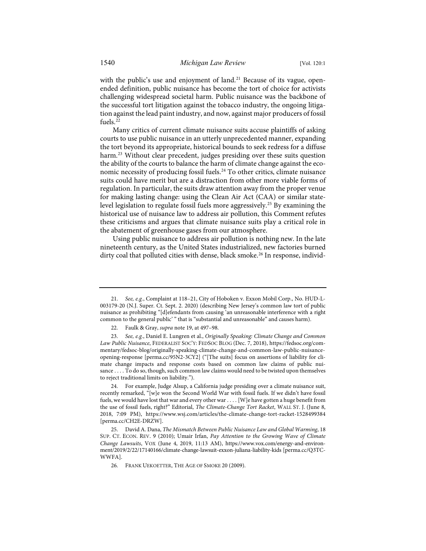with the public's use and enjoyment of land.<sup>[21](#page-5-0)</sup> Because of its vague, openended definition, public nuisance has become the tort of choice for activists challenging widespread societal harm. Public nuisance was the backbone of the successful tort litigation against the tobacco industry, the ongoing litigation against the lead paint industry, and now, against major producers of fossil fuels.[22](#page-5-1)

<span id="page-5-7"></span>Many critics of current climate nuisance suits accuse plaintiffs of asking courts to use public nuisance in an utterly unprecedented manner, expanding the tort beyond its appropriate, historical bounds to seek redress for a diffuse harm.<sup>[23](#page-5-2)</sup> Without clear precedent, judges presiding over these suits question the ability of the courts to balance the harm of climate change against the economic necessity of producing fossil fuels.[24](#page-5-3) To other critics, climate nuisance suits could have merit but are a distraction from other more viable forms of regulation. In particular, the suits draw attention away from the proper venue for making lasting change: using the Clean Air Act (CAA) or similar statelevel legislation to regulate fossil fuels more aggressively[.25](#page-5-4) By examining the historical use of nuisance law to address air pollution, this Comment refutes these criticisms and argues that climate nuisance suits play a critical role in the abatement of greenhouse gases from our atmosphere.

<span id="page-5-6"></span>Using public nuisance to address air pollution is nothing new. In the late nineteenth century, as the United States industrialized, new factories burned dirty coal that polluted cities with dense, black smoke.<sup>[26](#page-5-5)</sup> In response, individ-

<span id="page-5-0"></span><sup>21.</sup> *See, e.g.*, Complaint at 118–21, City of Hoboken v. Exxon Mobil Corp., No. HUD-L-003179-20 (N.J. Super. Ct. Sept. 2. 2020) (describing New Jersey's common law tort of public nuisance as prohibiting "[d]efendants from causing 'an unreasonable interference with a right common to the general public' " that is "substantial and unreasonable" and causes harm).

<sup>22.</sup> Faulk & Gray, *supra* not[e 19,](#page-4-6) at 497–98.

<span id="page-5-2"></span><span id="page-5-1"></span><sup>23.</sup> *See, e.g.*, Daniel E. Lungren et al., *Originally Speaking: Climate Change and Common Law Public Nuisance*, FEDERALIST SOC'Y: FEDSOC BLOG (Dec. 7, 2018)[, https://fedsoc.org/com](https://fedsoc.org/commentary/fedsoc-blog/originally-speaking-climate-change-and-common-law-public-nuisance-opening-response)[mentary/fedsoc-blog/originally-speaking-climate-change-and-common-law-public-nuisance](https://fedsoc.org/commentary/fedsoc-blog/originally-speaking-climate-change-and-common-law-public-nuisance-opening-response)[opening-response](https://fedsoc.org/commentary/fedsoc-blog/originally-speaking-climate-change-and-common-law-public-nuisance-opening-response) [\[perma.cc/95N2-3CY2\]](https://perma.cc/95N2-3CY2) ("[The suits] focus on assertions of liability for climate change impacts and response costs based on common law claims of public nuisance . . . . To do so, though, such common law claims would need to be twisted upon themselves to reject traditional limits on liability.").

<span id="page-5-3"></span><sup>24.</sup> For example, Judge Alsup, a California judge presiding over a climate nuisance suit, recently remarked, "[w]e won the Second World War with fossil fuels. If we didn't have fossil fuels, we would have lost that war and every other war . . . . [W]e have gotten a huge benefit from the use of fossil fuels, right?" Editorial, *The Climate-Change Tort Racket*, WALL ST. J. (June 8, 2018, 7:09 PM), <https://www.wsj.com/articles/the-climate-change-tort-racket-1528499384> [\[perma.cc/CH2E-DRZW\]](https://perma.cc/CH2E-DRZW).

<span id="page-5-5"></span><span id="page-5-4"></span><sup>25.</sup> David A. Dana, *The Mismatch Between Public Nuisance Law and Global Warming*, 18 SUP. CT. ECON. REV. 9 (2010); Umair Irfan, *Pay Attention to the Growing Wave of Climate Change Lawsuits*, VOX (June 4, 2019, 11:13 AM), [https://www.vox.com/energy-and-environ](https://www.vox.com/energy-and-environment/2019/2/22/17140166/climate-change-lawsuit-exxon-juliana-liability-kids)[ment/2019/2/22/17140166/climate-change-lawsuit-exxon-juliana-liability-kids](https://www.vox.com/energy-and-environment/2019/2/22/17140166/climate-change-lawsuit-exxon-juliana-liability-kids) [\[perma.cc/Q3TC-](https://perma.cc/Q3TC-WWFA)[WWFA\]](https://perma.cc/Q3TC-WWFA).

<sup>26.</sup> FRANK UEKOETTER, THE AGE OF SMOKE 20 (2009).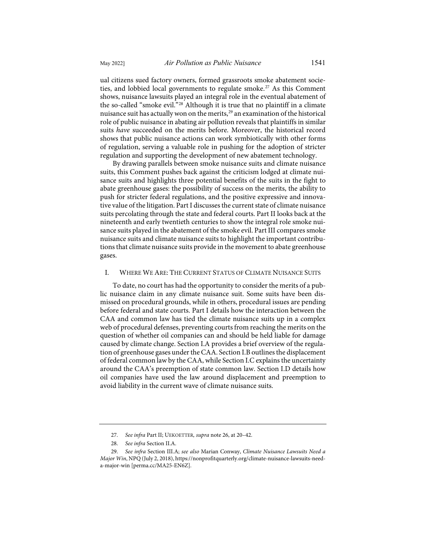ual citizens sued factory owners, formed grassroots smoke abatement socie-ties, and lobbied local governments to regulate smoke.<sup>[27](#page-6-0)</sup> As this Comment shows, nuisance lawsuits played an integral role in the eventual abatement of the so-called "smoke evil."[28](#page-6-1) Although it is true that no plaintiff in a climate nuisance suit has actually won on the merits,<sup>29</sup> an examination of the historical role of public nuisance in abating air pollution reveals that plaintiffs in similar suits *have* succeeded on the merits before. Moreover, the historical record shows that public nuisance actions can work symbiotically with other forms of regulation, serving a valuable role in pushing for the adoption of stricter regulation and supporting the development of new abatement technology.

By drawing parallels between smoke nuisance suits and climate nuisance suits, this Comment pushes back against the criticism lodged at climate nuisance suits and highlights three potential benefits of the suits in the fight to abate greenhouse gases: the possibility of success on the merits, the ability to push for stricter federal regulations, and the positive expressive and innovative value of the litigation. Part I discusses the current state of climate nuisance suits percolating through the state and federal courts. Part II looks back at the nineteenth and early twentieth centuries to show the integral role smoke nuisance suits played in the abatement of the smoke evil. Part III compares smoke nuisance suits and climate nuisance suits to highlight the important contributions that climate nuisance suits provide in the movement to abate greenhouse gases.

# I. WHERE WE ARE: THE CURRENT STATUS OF CLIMATE NUISANCE SUITS

To date, no court has had the opportunity to consider the merits of a public nuisance claim in any climate nuisance suit. Some suits have been dismissed on procedural grounds, while in others, procedural issues are pending before federal and state courts. Part I details how the interaction between the CAA and common law has tied the climate nuisance suits up in a complex web of procedural defenses, preventing courts from reaching the merits on the question of whether oil companies can and should be held liable for damage caused by climate change. Section I.A provides a brief overview of the regulation of greenhouse gases under the CAA. Section I.B outlines the displacement of federal common law by the CAA, while Section I.C explains the uncertainty around the CAA's preemption of state common law. Section I.D details how oil companies have used the law around displacement and preemption to avoid liability in the current wave of climate nuisance suits.

<sup>27.</sup> *See infra* Part II; UEKOETTER*, supra* not[e 26,](#page-5-6) at 20–42.

<sup>28.</sup> *See infra* Section II.A.

<span id="page-6-2"></span><span id="page-6-1"></span><span id="page-6-0"></span><sup>29.</sup> *See infra* Section III.A; *see also* Marian Conway, *Climate Nuisance Lawsuits Need a Major Win*, NPQ (July 2, 2018)[, https://nonprofitquarterly.org/climate-nuisance-lawsuits-need](https://nonprofitquarterly.org/climate-nuisance-lawsuits-need-a-major-win)[a-major-win](https://nonprofitquarterly.org/climate-nuisance-lawsuits-need-a-major-win) [\[perma.cc/MA25-EN6Z\]](https://perma.cc/MA25-EN6Z).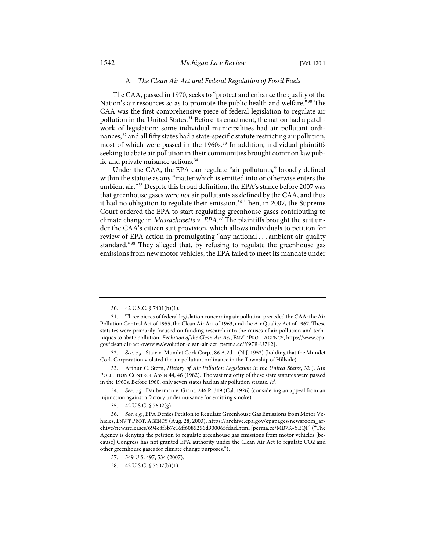#### A*. The Clean Air Act and Federal Regulation of Fossil Fuels*

The CAA, passed in 1970, seeks to "protect and enhance the quality of the Nation's air resources so as to promote the public health and welfare."[30](#page-7-0) The CAA was the first comprehensive piece of federal legislation to regulate air pollution in the United States.<sup>[31](#page-7-1)</sup> Before its enactment, the nation had a patchwork of legislation: some individual municipalities had air pollutant ordi-nances,<sup>[32](#page-7-2)</sup> and all fifty states had a state-specific statute restricting air pollution, most of which were passed in the 1960s.<sup>[33](#page-7-3)</sup> In addition, individual plaintiffs seeking to abate air pollution in their communities brought common law pub-lic and private nuisance actions.<sup>[34](#page-7-4)</sup>

<span id="page-7-9"></span>Under the CAA, the EPA can regulate "air pollutants," broadly defined within the statute as any "matter which is emitted into or otherwise enters the ambient air."[35](#page-7-5) Despite this broad definition, the EPA's stance before 2007 was that greenhouse gases were *not* air pollutants as defined by the CAA, and thus it had no obligation to regulate their emission.<sup>[36](#page-7-6)</sup> Then, in 2007, the Supreme Court ordered the EPA to start regulating greenhouse gases contributing to climate change in *Massachusetts v. EPA*. [37](#page-7-7) The plaintiffs brought the suit under the CAA's citizen suit provision, which allows individuals to petition for review of EPA action in promulgating "any national . . . ambient air quality standard."[38](#page-7-8) They alleged that, by refusing to regulate the greenhouse gas emissions from new motor vehicles, the EPA failed to meet its mandate under

<sup>30. 42</sup> U.S.C. § 7401(b)(1).

<span id="page-7-1"></span><span id="page-7-0"></span><sup>31.</sup> Three pieces of federal legislation concerning air pollution preceded the CAA: the Air Pollution Control Act of 1955, the Clean Air Act of 1963, and the Air Quality Act of 1967. These statutes were primarily focused on funding research into the causes of air pollution and techniques to abate pollution. *Evolution of the Clean Air Act*, ENV'T PROT.AGENCY[, https://www.epa.](https://www.epa.gov/clean-air-act-overview/evolution-clean-air-act) [gov/clean-air-act-overview/evolution-clean-air-act](https://www.epa.gov/clean-air-act-overview/evolution-clean-air-act) [\[perma.cc/Y97R-U7F2\]](https://perma.cc/Y97R-U7F2).

<span id="page-7-2"></span><sup>32.</sup> *See, e.g.*, State v. Mundet Cork Corp., 86 A.2d 1 (N.J. 1952) (holding that the Mundet Cork Corporation violated the air pollutant ordinance in the Township of Hillside).

<span id="page-7-3"></span><sup>33.</sup> Arthur C. Stern, *History of Air Pollution Legislation in the United States*, 32 J. AIR POLLUTION CONTROL ASS'N 44, 46 (1982). The vast majority of these state statutes were passed in the 1960s. Before 1960, only seven states had an air pollution statute. *Id.*

<span id="page-7-4"></span><sup>34.</sup> *See, e.g.*, Dauberman v. Grant, 246 P. 319 (Cal. 1926) (considering an appeal from an injunction against a factory under nuisance for emitting smoke).

<sup>35. 42</sup> U.S.C. § 7602(g).

<span id="page-7-7"></span><span id="page-7-6"></span><span id="page-7-5"></span><sup>36.</sup> *See, e.g.*, EPA Denies Petition to Regulate Greenhouse Gas Emissions from Motor Vehicles, ENV'T PROT. AGENCY (Aug. 28, 2003)[, https://archive.epa.gov/epapages/newsroom\\_ar](https://archive.epa.gov/epapages/newsroom_archive/newsreleases/694c8f3b7c16ff6085256d900065fdad.html)[chive/newsreleases/694c8f3b7c16ff6085256d900065fdad.html](https://archive.epa.gov/epapages/newsroom_archive/newsreleases/694c8f3b7c16ff6085256d900065fdad.html) [\[perma.cc/MB7K-YEQF\]](https://perma.cc/MB7K-YEQF) ("The Agency is denying the petition to regulate greenhouse gas emissions from motor vehicles [because] Congress has not granted EPA authority under the Clean Air Act to regulate CO2 and other greenhouse gases for climate change purposes.").

<span id="page-7-8"></span><sup>37. 549</sup> U.S. 497, 534 (2007).

<sup>38. 42</sup> U.S.C. § 7607(b)(1).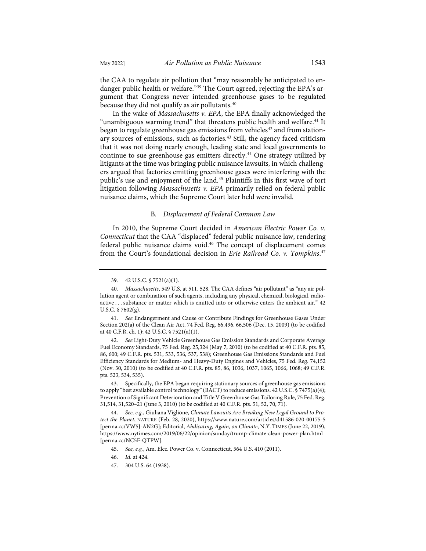the CAA to regulate air pollution that "may reasonably be anticipated to en-danger public health or welfare."<sup>[39](#page-8-0)</sup> The Court agreed, rejecting the EPA's argument that Congress never intended greenhouse gases to be regulated because they did not qualify as air pollutants.<sup>[40](#page-8-1)</sup>

<span id="page-8-11"></span>In the wake of *Massachusetts v. EPA*, the EPA finally acknowledged the "unambiguous warming trend" that threatens public health and welfare.<sup>[41](#page-8-2)</sup> It began to regulate greenhouse gas emissions from vehicles<sup>[42](#page-8-3)</sup> and from station-ary sources of emissions, such as factories.<sup>[43](#page-8-4)</sup> Still, the agency faced criticism that it was not doing nearly enough, leading state and local governments to continue to sue greenhouse gas emitters directly.<sup>[44](#page-8-5)</sup> One strategy utilized by litigants at the time was bringing public nuisance lawsuits, in which challengers argued that factories emitting greenhouse gases were interfering with the public's use and enjoyment of the land.<sup>[45](#page-8-6)</sup> Plaintiffs in this first wave of tort litigation following *Massachusetts v. EPA* primarily relied on federal public nuisance claims, which the Supreme Court later held were invalid.

## <span id="page-8-10"></span><span id="page-8-9"></span>B*. Displacement of Federal Common Law*

In 2010, the Supreme Court decided in *American Electric Power Co. v. Connecticut* that the CAA "displaced" federal public nuisance law, rendering federal public nuisance claims void.[46](#page-8-7) The concept of displacement comes from the Court's foundational decision in *Erie Railroad Co. v. Tompkins*. [47](#page-8-8)

<span id="page-8-2"></span>41. *See* Endangerment and Cause or Contribute Findings for Greenhouse Gases Under Section 202(a) of the Clean Air Act, 74 Fed. Reg. 66,496, 66,506 (Dec. 15, 2009) (to be codified at 40 C.F.R. ch. 1); 42 U.S.C. § 7521(a)(1).

<span id="page-8-3"></span>42. *See* Light-Duty Vehicle Greenhouse Gas Emission Standards and Corporate Average Fuel Economy Standards, 75 Fed. Reg. 25,324 (May 7, 2010) (to be codified at 40 C.F.R. pts. 85, 86, 600; 49 C.F.R. pts. 531, 533, 536, 537, 538); Greenhouse Gas Emissions Standards and Fuel Efficiency Standards for Medium- and Heavy-Duty Engines and Vehicles, 75 Fed. Reg. 74,152 (Nov. 30, 2010) (to be codified at 40 C.F.R. pts. 85, 86, 1036, 1037, 1065, 1066, 1068; 49 C.F.R. pts. 523, 534, 535).

<span id="page-8-4"></span>43. Specifically, the EPA began requiring stationary sources of greenhouse gas emissions to apply "best available control technology" (BACT) to reduce emissions. 42 U.S.C. § 7475(a)(4); Prevention of Significant Deterioration and Title V Greenhouse Gas Tailoring Rule, 75 Fed. Reg. 31,514, 31,520–21 (June 3, 2010) (to be codified at 40 C.F.R. pts. 51, 52, 70, 71).

<span id="page-8-7"></span><span id="page-8-6"></span><span id="page-8-5"></span>44. *See, e.g.*, Giuliana Viglione, *Climate Lawsuits Are Breaking New Legal Ground to Protect the Planet*, NATURE (Feb. 28, 2020),<https://www.nature.com/articles/d41586-020-00175-5> [\[perma.cc/VW5J-AN2G\]](https://perma.cc/VW5J-AN2G); Editorial, *Abdicating, Again, on Climate*, N.Y. TIMES (June 22, 2019), <https://www.nytimes.com/2019/06/22/opinion/sunday/trump-climate-clean-power-plan.html> [\[perma.cc/NC5F-QTPW\]](https://perma.cc/NC5F-QTPW).

- 45. *See, e.g.*, Am. Elec. Power Co. v. Connecticut, 564 U.S. 410 (2011).
- 46. *Id.* at 424.
- <span id="page-8-8"></span>47. 304 U.S. 64 (1938).

<sup>39. 42</sup> U.S.C. § 7521(a)(1).

<span id="page-8-1"></span><span id="page-8-0"></span><sup>40.</sup> *Massachusetts*, 549 U.S. at 511, 528. The CAA defines "air pollutant" as "any air pollution agent or combination of such agents, including any physical, chemical, biological, radioactive . . . substance or matter which is emitted into or otherwise enters the ambient air." 42 U.S.C. § 7602(g).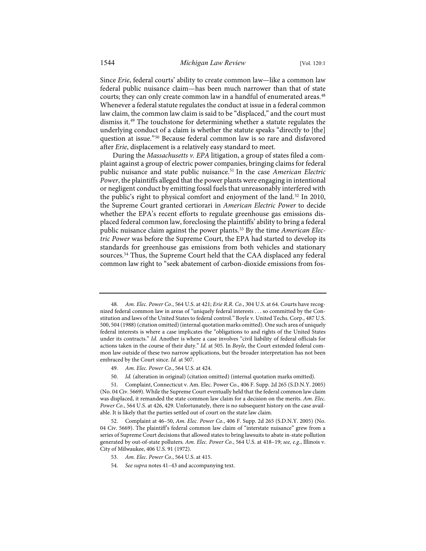Since *Erie*, federal courts' ability to create common law—like a common law federal public nuisance claim—has been much narrower than that of state courts; they can only create common law in a handful of enumerated areas.<sup>[48](#page-9-0)</sup> Whenever a federal statute regulates the conduct at issue in a federal common law claim, the common law claim is said to be "displaced," and the court must dismiss it[.49](#page-9-1) The touchstone for determining whether a statute regulates the underlying conduct of a claim is whether the statute speaks "directly to [the] question at issue."[50](#page-9-2) Because federal common law is so rare and disfavored after *Erie*, displacement is a relatively easy standard to meet.

<span id="page-9-7"></span>During the *Massachusetts v. EPA* litigation, a group of states filed a complaint against a group of electric power companies, bringing claims for federal public nuisance and state public nuisance[.51](#page-9-3) In the case *American Electric Power*, the plaintiffs alleged that the power plants were engaging in intentional or negligent conduct by emitting fossil fuels that unreasonably interfered with the public's right to physical comfort and enjoyment of the land.<sup>[52](#page-9-4)</sup> In 2010, the Supreme Court granted certiorari in *American Electric Power* to decide whether the EPA's recent efforts to regulate greenhouse gas emissions displaced federal common law, foreclosing the plaintiffs' ability to bring a federal public nuisance claim against the power plants.[53](#page-9-5) By the time *American Electric Power* was before the Supreme Court, the EPA had started to develop its standards for greenhouse gas emissions from both vehicles and stationary sources.[54](#page-9-6) Thus, the Supreme Court held that the CAA displaced any federal common law right to "seek abatement of carbon-dioxide emissions from fos-

- 49. *Am. Elec. Power Co.*, 564 U.S. at 424.
- 50. *Id.* (alteration in original) (citation omitted) (internal quotation marks omitted).

- 53. *Am. Elec. Power Co.*, 564 U.S. at 415.
- 54. *See supra* note[s 41](#page-8-9)[–43](#page-8-10) and accompanying text.

<span id="page-9-0"></span><sup>48.</sup> *Am. Elec. Power Co.*, 564 U.S. at 421; *Erie R.R. Co.*, 304 U.S. at 64. Courts have recognized federal common law in areas of "uniquely federal interests . . . so committed by the Constitution and laws of the United States to federal control." Boyle v. United Techs. Corp., 487 U.S. 500, 504 (1988) (citation omitted) (internal quotation marks omitted). One such area of uniquely federal interests is where a case implicates the "obligations to and rights of the United States under its contracts." *Id.* Another is where a case involves "civil liability of federal officials for actions taken in the course of their duty." *Id.* at 505. In *Boyle*, the Court extended federal common law outside of these two narrow applications, but the broader interpretation has not been embraced by the Court since. *Id.* at 507.

<span id="page-9-3"></span><span id="page-9-2"></span><span id="page-9-1"></span><sup>51.</sup> Complaint, Connecticut v. Am. Elec. Power Co., 406 F. Supp. 2d 265 (S.D.N.Y. 2005) (No. 04 Civ. 5669). While the Supreme Court eventually held that the federal common law claim was displaced, it remanded the state common law claim for a decision on the merits. *Am. Elec. Power Co.*, 564 U.S. at 426, 429. Unfortunately, there is no subsequent history on the case available. It is likely that the parties settled out of court on the state law claim.

<span id="page-9-6"></span><span id="page-9-5"></span><span id="page-9-4"></span><sup>52.</sup> Complaint at 46–50, *Am. Elec. Power Co.*, 406 F. Supp. 2d 265 (S.D.N.Y. 2005) (No. 04 Civ. 5669). The plaintiff's federal common law claim of "interstate nuisance" grew from a series of Supreme Court decisions that allowed states to bring lawsuits to abate in-state pollution generated by out-of-state polluters. *Am. Elec. Power Co.*, 564 U.S. at 418–19; *see, e.g.*, Illinois v. City of Milwaukee, 406 U.S. 91 (1972).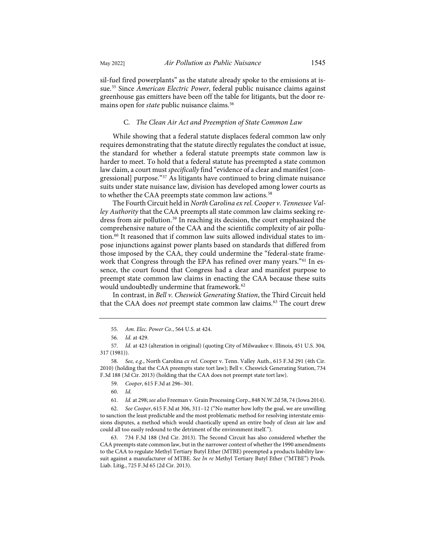<span id="page-10-9"></span>sil-fuel fired powerplants" as the statute already spoke to the emissions at issue.[55](#page-10-0) Since *American Electric Power*, federal public nuisance claims against greenhouse gas emitters have been off the table for litigants, but the door remains open for *state* public nuisance claims.<sup>[56](#page-10-1)</sup>

## C*. The Clean Air Act and Preemption of State Common Law*

While showing that a federal statute displaces federal common law only requires demonstrating that the statute directly regulates the conduct at issue, the standard for whether a federal statute preempts state common law is harder to meet. To hold that a federal statute has preempted a state common law claim, a court must *specifically* find "evidence of a clear and manifest [congressional] purpose."[57](#page-10-2) As litigants have continued to bring climate nuisance suits under state nuisance law, division has developed among lower courts as to whether the CAA preempts state common law actions.<sup>[58](#page-10-3)</sup>

The Fourth Circuit held in *North Carolina ex rel. Cooper v. Tennessee Valley Authority* that the CAA preempts all state common law claims seeking re-dress from air pollution.<sup>[59](#page-10-4)</sup> In reaching its decision, the court emphasized the comprehensive nature of the CAA and the scientific complexity of air pollu-tion.<sup>[60](#page-10-5)</sup> It reasoned that if common law suits allowed individual states to impose injunctions against power plants based on standards that differed from those imposed by the CAA, they could undermine the "federal-state framework that Congress through the EPA has refined over many years."[61](#page-10-6) In essence, the court found that Congress had a clear and manifest purpose to preempt state common law claims in enacting the CAA because these suits would undoubtedly undermine that framework.<sup>[62](#page-10-7)</sup>

In contrast, in *Bell v. Cheswick Generating Station*, the Third Circuit held that the CAA does *not* preempt state common law claims.<sup>[63](#page-10-8)</sup> The court drew

61. *Id.* at 298; *see also* Freeman v. Grain Processing Corp., 848 N.W.2d 58, 74 (Iowa 2014).

<span id="page-10-7"></span><span id="page-10-6"></span><span id="page-10-5"></span>62. *See Cooper*, 615 F.3d at 306, 311–12 ("No matter how lofty the goal, we are unwilling to sanction the least predictable and the most problematic method for resolving interstate emissions disputes, a method which would chaotically upend an entire body of clean air law and could all too easily redound to the detriment of the environment itself.").

<span id="page-10-8"></span>63. 734 F.3d 188 (3rd Cir. 2013). The Second Circuit has also considered whether the CAA preempts state common law, but in the narrower context of whether the 1990 amendments to the CAA to regulate Methyl Tertiary Butyl Ether (MTBE) preempted a products liability lawsuit against a manufacturer of MTBE. *See In re* Methyl Tertiary Butyl Ether ("MTBE") Prods. Liab. Litig., 725 F.3d 65 (2d Cir. 2013).

<sup>55.</sup> *Am. Elec. Power Co.*, 564 U.S. at 424.

<sup>56.</sup> *Id.* at 429.

<span id="page-10-2"></span><span id="page-10-1"></span><span id="page-10-0"></span><sup>57.</sup> *Id.* at 423 (alteration in original) (quoting City of Milwaukee v. Illinois, 451 U.S. 304, 317 (1981)).

<span id="page-10-4"></span><span id="page-10-3"></span><sup>58.</sup> *See, e.g.*, North Carolina *ex rel.* Cooper v. Tenn. Valley Auth., 615 F.3d 291 (4th Cir. 2010) (holding that the CAA preempts state tort law); Bell v. Cheswick Generating Station, 734 F.3d 188 (3d Cir. 2013) (holding that the CAA does not preempt state tort law).

<sup>59.</sup> *Cooper*, 615 F.3d at 296–301.

<sup>60.</sup> *Id.*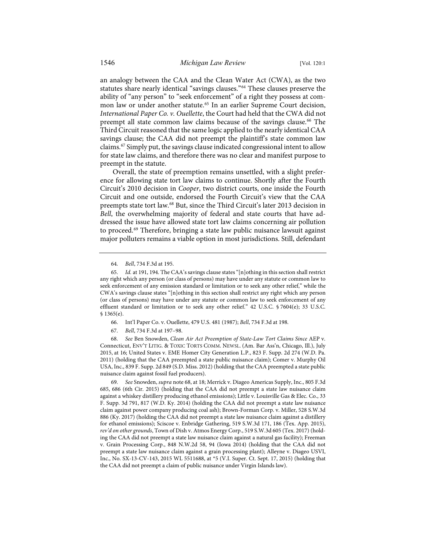an analogy between the CAA and the Clean Water Act (CWA), as the two statutes share nearly identical "savings clauses."[64](#page-11-1) These clauses preserve the ability of "any person" to "seek enforcement" of a right they possess at com-mon law or under another statute.<sup>[65](#page-11-2)</sup> In an earlier Supreme Court decision, *International Paper Co. v. Ouellette*, the Court had held that the CWA did not preempt all state common law claims because of the savings clause.<sup>[66](#page-11-3)</sup> The Third Circuit reasoned that the same logic applied to the nearly identical CAA savings clause; the CAA did not preempt the plaintiff's state common law claims.[67](#page-11-4) Simply put, the savings clause indicated congressional intent to allow for state law claims, and therefore there was no clear and manifest purpose to preempt in the statute.

<span id="page-11-0"></span>Overall, the state of preemption remains unsettled, with a slight preference for allowing state tort law claims to continue. Shortly after the Fourth Circuit's 2010 decision in *Cooper*, two district courts, one inside the Fourth Circuit and one outside, endorsed the Fourth Circuit's view that the CAA preempts state tort law.[68](#page-11-5) But, since the Third Circuit's later 2013 decision in *Bell*, the overwhelming majority of federal and state courts that have addressed the issue have allowed state tort law claims concerning air pollution to proceed.[69](#page-11-6) Therefore, bringing a state law public nuisance lawsuit against major polluters remains a viable option in most jurisdictions. Still, defendant

- 66. Int'l Paper Co. v. Ouellette, 479 U.S. 481 (1987); *Bell*, 734 F.3d at 198.
- 67. *Bell*, 734 F.3d at 197–98.

<span id="page-11-5"></span><span id="page-11-4"></span><span id="page-11-3"></span>68. *See* Ben Snowden, *Clean Air Act Preemption of State-Law Tort Claims Since* AEP v. Connecticut, ENV'T LITIG. & TOXIC TORTS COMM. NEWSL. (Am. Bar Ass'n, Chicago, Ill.), July 2015, at 16; United States v. EME Homer City Generation L.P., 823 F. Supp. 2d 274 (W.D. Pa. 2011) (holding that the CAA preempted a state public nuisance claim); Comer v. Murphy Oil USA, Inc., 839 F. Supp. 2d 849 (S.D. Miss. 2012) (holding that the CAA preempted a state public nuisance claim against fossil fuel producers).

<span id="page-11-6"></span>69. *See* Snowden, *supra* not[e 68,](#page-11-0) at 18; Merrick v. Diageo Americas Supply, Inc., 805 F.3d 685, 686 (6th Cir. 2015) (holding that the CAA did not preempt a state law nuisance claim against a whiskey distillery producing ethanol emissions); Little v. Louisville Gas & Elec. Co., 33 F. Supp. 3d 791, 817 (W.D. Ky. 2014) (holding the CAA did not preempt a state law nuisance claim against power company producing coal ash); Brown-Forman Corp. v. Miller, 528 S.W.3d 886 (Ky. 2017) (holding the CAA did not preempt a state law nuisance claim against a distillery for ethanol emissions); Sciscoe v. Enbridge Gathering, 519 S.W.3d 171, 186 (Tex. App. 2015), *rev'd on other grounds*, Town of Dish v. Atmos Energy Corp., 519 S.W.3d 605 (Tex. 2017) (holding the CAA did not preempt a state law nuisance claim against a natural gas facility); Freeman v. Grain Processing Corp., 848 N.W.2d 58, 94 (Iowa 2014) (holding that the CAA did not preempt a state law nuisance claim against a grain processing plant); Alleyne v. Diageo USVI, Inc., No. SX-13-CV-143, 2015 WL 5511688, at \*5 (V.I. Super. Ct. Sept. 17, 2015) (holding that the CAA did not preempt a claim of public nuisance under Virgin Islands law).

<sup>64.</sup> *Bell*, 734 F.3d at 195.

<span id="page-11-2"></span><span id="page-11-1"></span><sup>65.</sup> *Id.* at 191, 194. The CAA's savings clause states "[n]othing in this section shall restrict any right which any person (or class of persons) may have under any statute or common law to seek enforcement of any emission standard or limitation or to seek any other relief," while the CWA's savings clause states "[n]othing in this section shall restrict any right which any person (or class of persons) may have under any statute or common law to seek enforcement of any effluent standard or limitation or to seek any other relief." 42 U.S.C. § 7604(e); 33 U.S.C. § 1365(e).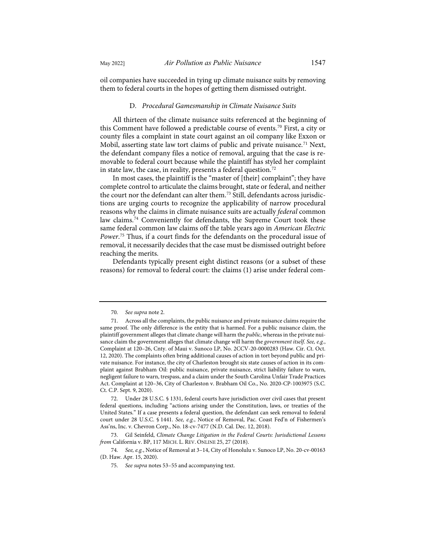oil companies have succeeded in tying up climate nuisance suits by removing them to federal courts in the hopes of getting them dismissed outright.

#### D*. Procedural Gamesmanship in Climate Nuisance Suits*

All thirteen of the climate nuisance suits referenced at the beginning of this Comment have followed a predictable course of events.<sup>[70](#page-12-0)</sup> First, a city or county files a complaint in state court against an oil company like Exxon or Mobil, asserting state law tort claims of public and private nuisance.<sup>[71](#page-12-1)</sup> Next, the defendant company files a notice of removal, arguing that the case is removable to federal court because while the plaintiff has styled her complaint in state law, the case, in reality, presents a federal question.<sup>[72](#page-12-2)</sup>

<span id="page-12-6"></span>In most cases, the plaintiff is the "master of [their] complaint"; they have complete control to articulate the claims brought, state or federal, and neither the court nor the defendant can alter them.<sup>[73](#page-12-3)</sup> Still, defendants across jurisdictions are urging courts to recognize the applicability of narrow procedural reasons why the claims in climate nuisance suits are actually *federal* common law claims.[74](#page-12-4) Conveniently for defendants, the Supreme Court took these same federal common law claims off the table years ago in *American Electric Power*. [75](#page-12-5) Thus, if a court finds for the defendants on the procedural issue of removal, it necessarily decides that the case must be dismissed outright before reaching the merits.

Defendants typically present eight distinct reasons (or a subset of these reasons) for removal to federal court: the claims (1) arise under federal com-

<sup>70.</sup> *See supra* not[e 2.](#page-2-0) 

<span id="page-12-1"></span><span id="page-12-0"></span><sup>71.</sup> Across all the complaints, the public nuisance and private nuisance claims require the same proof. The only difference is the entity that is harmed. For a public nuisance claim, the plaintiff government alleges that climate change will harm the *public*, whereas in the private nuisance claim the government alleges that climate change will harm the *government itself*. *See, e.g.*, Complaint at 120–26, Cnty. of Maui v. Sunoco LP, No. 2CCV-20-0000283 (Haw. Cir. Ct. Oct. 12, 2020). The complaints often bring additional causes of action in tort beyond public and private nuisance. For instance, the city of Charleston brought six state causes of action in its complaint against Brabham Oil: public nuisance, private nuisance, strict liability failure to warn, negligent failure to warn, trespass, and a claim under the South Carolina Unfair Trade Practices Act. Complaint at 120–36, City of Charleston v. Brabham Oil Co., No. 2020-CP-1003975 (S.C. Ct. C.P. Sept. 9, 2020).

<span id="page-12-2"></span><sup>72.</sup> Under 28 U.S.C. § 1331, federal courts have jurisdiction over civil cases that present federal questions, including "actions arising under the Constitution, laws, or treaties of the United States." If a case presents a federal question, the defendant can seek removal to federal court under 28 U.S.C. § 1441. *See, e.g.*, Notice of Removal, Pac. Coast Fed'n of Fishermen's Ass'ns, Inc. v. Chevron Corp., No. 18-cv-7477 (N.D. Cal. Dec. 12, 2018).

<span id="page-12-3"></span><sup>73.</sup> Gil Seinfeld, *Climate Change Litigation in the Federal Courts: Jurisdictional Lessons from* California v. BP, 117 MICH. L. REV. ONLINE 25, 27 (2018).

<span id="page-12-5"></span><span id="page-12-4"></span><sup>74.</sup> *See, e.g.*, Notice of Removal at 3–14, City of Honolulu v. Sunoco LP, No. 20-cv-00163 (D. Haw. Apr. 15, 2020).

<sup>75.</sup> *See supra* note[s 53](#page-9-7)[–55](#page-10-9) and accompanying text.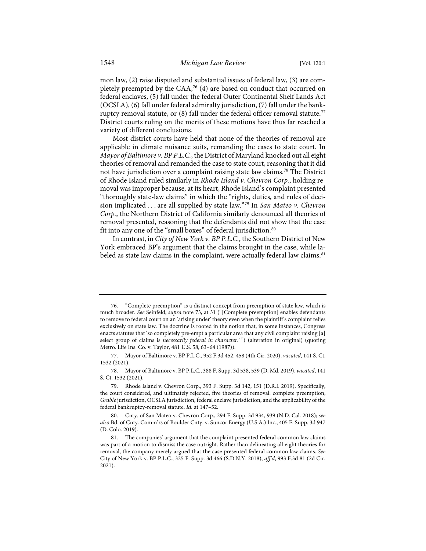mon law, (2) raise disputed and substantial issues of federal law, (3) are completely preempted by the CAA,<sup>76</sup> (4) are based on conduct that occurred on federal enclaves, (5) fall under the federal Outer Continental Shelf Lands Act (OCSLA), (6) fall under federal admiralty jurisdiction, (7) fall under the bankruptcy removal statute, or  $(8)$  fall under the federal officer removal statute.<sup>[77](#page-13-1)</sup> District courts ruling on the merits of these motions have thus far reached a variety of different conclusions.

Most district courts have held that none of the theories of removal are applicable in climate nuisance suits, remanding the cases to state court. In *Mayor of Baltimore v. BP P.L.C.*, the District of Maryland knocked out all eight theories of removal and remanded the case to state court, reasoning that it did not have jurisdiction over a complaint raising state law claims.[78](#page-13-2) The District of Rhode Island ruled similarly in *Rhode Island v. Chevron Corp.*, holding removal was improper because, at its heart, Rhode Island's complaint presented "thoroughly state-law claims" in which the "rights, duties, and rules of decision implicated . . . are all supplied by state law."[79](#page-13-3) In *San Mateo v. Chevron Corp.*, the Northern District of California similarly denounced all theories of removal presented, reasoning that the defendants did not show that the case fit into any one of the "small boxes" of federal jurisdiction.<sup>[80](#page-13-4)</sup>

<span id="page-13-6"></span>In contrast, in *City of New York v. BP P.L.C.*, the Southern District of New York embraced BP's argument that the claims brought in the case, while la-beled as state law claims in the complaint, were actually federal law claims.<sup>[81](#page-13-5)</sup>

<span id="page-13-0"></span><sup>76. &</sup>quot;Complete preemption" is a distinct concept from preemption of state law, which is much broader. *See* Seinfeld, *supra* not[e 73,](#page-12-6) at 31 ("[Complete preemption] enables defendants to remove to federal court on an 'arising under' theory even when the plaintiff's complaint relies exclusively on state law. The doctrine is rooted in the notion that, in some instances, Congress enacts statutes that 'so completely pre-empt a particular area that any civil complaint raising [a] select group of claims is *necessarily federal in character*.' ") (alteration in original) (quoting Metro. Life Ins. Co. v. Taylor, 481 U.S. 58, 63–64 (1987)).

<span id="page-13-1"></span><sup>77.</sup> Mayor of Baltimore v. BP P.L.C., 952 F.3d 452, 458 (4th Cir. 2020), *vacated*, 141 S. Ct. 1532 (2021).

<span id="page-13-2"></span><sup>78.</sup> Mayor of Baltimore v. BP P.L.C., 388 F. Supp. 3d 538, 539 (D. Md. 2019), *vacated*, 141 S. Ct. 1532 (2021).

<span id="page-13-3"></span><sup>79.</sup> Rhode Island v. Chevron Corp., 393 F. Supp. 3d 142, 151 (D.R.I. 2019). Specifically, the court considered, and ultimately rejected, five theories of removal: complete preemption, *Grable* jurisdiction, OCSLA jurisdiction, federal enclave jurisdiction, and the applicability of the federal bankruptcy-removal statute. *Id.* at 147–52.

<span id="page-13-4"></span><sup>80.</sup> Cnty. of San Mateo v. Chevron Corp., 294 F. Supp. 3d 934, 939 (N.D. Cal. 2018); *see also* Bd. of Cnty. Comm'rs of Boulder Cnty. v. Suncor Energy (U.S.A.) Inc., 405 F. Supp. 3d 947 (D. Colo. 2019).

<span id="page-13-5"></span><sup>81.</sup> The companies' argument that the complaint presented federal common law claims was part of a motion to dismiss the case outright. Rather than delineating all eight theories for removal, the company merely argued that the case presented federal common law claims. *See* City of New York v. BP P.L.C., 325 F. Supp. 3d 466 (S.D.N.Y. 2018), *aff'd*, 993 F.3d 81 (2d Cir. 2021).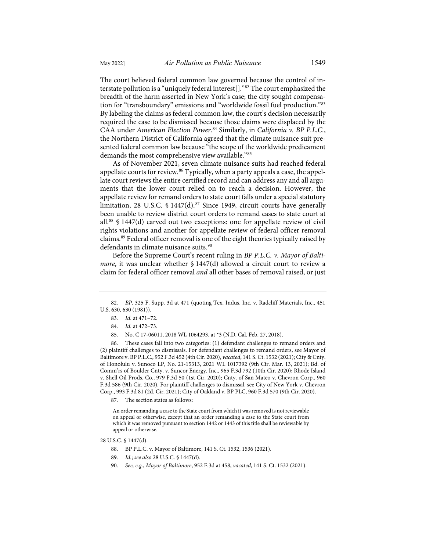The court believed federal common law governed because the control of interstate pollution is a "uniquely federal interest[]."[82](#page-14-0) The court emphasized the breadth of the harm asserted in New York's case; the city sought compensation for "transboundary" emissions and "worldwide fossil fuel production."[83](#page-14-1) By labeling the claims as federal common law, the court's decision necessarily required the case to be dismissed because those claims were displaced by the CAA under *American Election Power*. [84](#page-14-2) Similarly, in *California v. BP P.L.C.*, the Northern District of California agreed that the climate nuisance suit presented federal common law because "the scope of the worldwide predicament demands the most comprehensive view available."[85](#page-14-3)

<span id="page-14-9"></span>As of November 2021, seven climate nuisance suits had reached federal appellate courts for review.<sup>[86](#page-14-4)</sup> Typically, when a party appeals a case, the appellate court reviews the entire certified record and can address any and all arguments that the lower court relied on to reach a decision. However, the appellate review for remand orders to state court falls under a special statutory limitation, 28 U.S.C.  $\frac{6}{3}$  1447(d).<sup>[87](#page-14-5)</sup> Since 1949, circuit courts have generally been unable to review district court orders to remand cases to state court at all.[88](#page-14-6) § 1447(d) carved out two exceptions: one for appellate review of civil rights violations and another for appellate review of federal officer removal claims.[89](#page-14-7) Federal officer removal is one of the eight theories typically raised by defendants in climate nuisance suits.<sup>[90](#page-14-8)</sup>

Before the Supreme Court's recent ruling in *BP P.L.C. v. Mayor of Baltimore*, it was unclear whether § 1447(d) allowed a circuit court to review a claim for federal officer removal *and* all other bases of removal raised, or just

85. No. C 17-06011, 2018 WL 1064293, at \*3 (N.D. Cal. Feb. 27, 2018).

<span id="page-14-4"></span><span id="page-14-3"></span><span id="page-14-2"></span>86. These cases fall into two categories: (1) defendant challenges to remand orders and (2) plaintiff challenges to dismissals. For defendant challenges to remand orders, see Mayor of Baltimore v. BP P.L.C., 952 F.3d 452 (4th Cir. 2020), *vacated*, 141 S. Ct. 1532 (2021); City & Cnty. of Honolulu v. Sunoco LP, No. 21-15313, 2021 WL 1017392 (9th Cir. Mar. 13, 2021); Bd. of Comm'rs of Boulder Cnty. v. Suncor Energy, Inc., 965 F.3d 792 (10th Cir. 2020); Rhode Island v. Shell Oil Prods. Co., 979 F.3d 50 (1st Cir. 2020); Cnty. of San Mateo v. Chevron Corp., 960 F.3d 586 (9th Cir. 2020). For plaintiff challenges to dismissal, see City of New York v. Chevron Corp., 993 F.3d 81 (2d. Cir. 2021); City of Oakland v. BP PLC, 960 F.3d 570 (9th Cir. 2020).

87. The section states as follows:

An order remanding a case to the State court from which it was removed is not reviewable on appeal or otherwise, except that an order remanding a case to the State court from which it was removed pursuant to section 1442 or 1443 of this title shall be reviewable by appeal or otherwise.

<span id="page-14-8"></span><span id="page-14-7"></span><span id="page-14-6"></span><span id="page-14-5"></span>28 U.S.C. § 1447(d).

- 88. BP P.L.C. v. Mayor of Baltimore, 141 S. Ct. 1532, 1536 (2021).
- 89. *Id.*; *see also* 28 U.S.C. § 1447(d).
- 90. *See, e.g.*, *Mayor of Baltimore*, 952 F.3d at 458, *vacated*, 141 S. Ct. 1532 (2021).

<span id="page-14-1"></span><span id="page-14-0"></span><sup>82.</sup> *BP*, 325 F. Supp. 3d at 471 (quoting Tex. Indus. Inc. v. Radcliff Materials, Inc., 451 U.S. 630, 630 (1981)).

<sup>83.</sup> *Id.* at 471–72.

<sup>84.</sup> *Id.* at 472–73.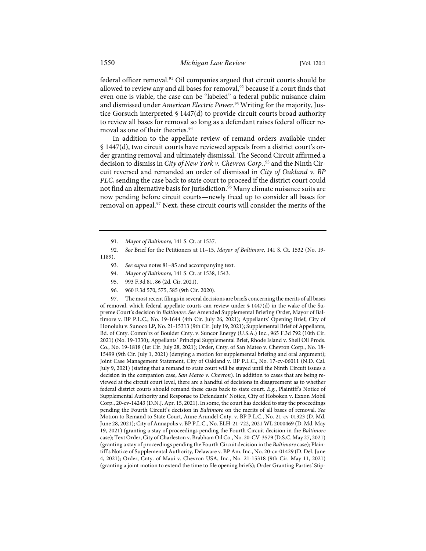federal officer removal.<sup>[91](#page-15-0)</sup> Oil companies argued that circuit courts should be allowed to review any and all bases for removal,<sup>[92](#page-15-1)</sup> because if a court finds that even one is viable, the case can be "labeled" a federal public nuisance claim and dismissed under *American Electric Power*. [93](#page-15-2) Writing for the majority, Justice Gorsuch interpreted § 1447(d) to provide circuit courts broad authority to review all bases for removal so long as a defendant raises federal officer re-moval as one of their theories.<sup>[94](#page-15-3)</sup>

In addition to the appellate review of remand orders available under § 1447(d), two circuit courts have reviewed appeals from a district court's order granting removal and ultimately dismissal. The Second Circuit affirmed a decision to dismiss in *City of New York v. Chevron Corp.*, [95](#page-15-4) and the Ninth Circuit reversed and remanded an order of dismissal in *City of Oakland v. BP PLC*, sending the case back to state court to proceed if the district court could not find an alternative basis for jurisdiction.<sup>[96](#page-15-5)</sup> Many climate nuisance suits are now pending before circuit courts—newly freed up to consider all bases for removal on appeal.<sup>[97](#page-15-6)</sup> Next, these circuit courts will consider the merits of the

<span id="page-15-2"></span><span id="page-15-1"></span><span id="page-15-0"></span>92. *See* Brief for the Petitioners at 11–15, *Mayor of Baltimore*, 141 S. Ct. 1532 (No. 19- 1189).

- 93. *See supra* note[s 81](#page-13-6)[–85](#page-14-9) and accompanying text.
- 94. *Mayor of Baltimore*, 141 S. Ct. at 1538, 1543.
- 95. 993 F.3d 81, 86 (2d. Cir. 2021).
- 96. 960 F.3d 570, 575, 585 (9th Cir. 2020).

<span id="page-15-6"></span><span id="page-15-5"></span><span id="page-15-4"></span><span id="page-15-3"></span>97. The most recent filings in several decisions are briefs concerning the merits of all bases of removal, which federal appellate courts can review under § 1447(d) in the wake of the Supreme Court's decision in *Baltimore*. *See* Amended Supplemental Briefing Order, Mayor of Baltimore v. BP P.L.C., No. 19-1644 (4th Cir. July 26, 2021); Appellants' Opening Brief, City of Honolulu v. Sunoco LP, No. 21-15313 (9th Cir. July 19, 2021); Supplemental Brief of Appellants, Bd. of Cnty. Comm'rs of Boulder Cnty. v. Suncor Energy (U.S.A.) Inc., 965 F.3d 792 (10th Cir. 2021) (No. 19-1330); Appellants' Principal Supplemental Brief, Rhode Island v. Shell Oil Prods. Co., No. 19-1818 (1st Cir. July 28, 2021); Order, Cnty. of San Mateo v. Chevron Corp., No. 18- 15499 (9th Cir. July 1, 2021) (denying a motion for supplemental briefing and oral argument); Joint Case Management Statement, City of Oakland v. BP P.L.C., No. 17-cv-06011 (N.D. Cal. July 9, 2021) (stating that a remand to state court will be stayed until the Ninth Circuit issues a decision in the companion case, *San Mateo v. Chevron*). In addition to cases that are being reviewed at the circuit court level, there are a handful of decisions in disagreement as to whether federal district courts should remand these cases back to state court. *E.g.*, Plaintiff's Notice of Supplemental Authority and Response to Defendants' Notice, City of Hoboken v. Exxon Mobil Corp., 20-cv-14243 (D.N.J. Apr. 15, 2021). In some, the court has decided to stay the proceedings pending the Fourth Circuit's decision in *Baltimore* on the merits of all bases of removal. *See* Motion to Remand to State Court, Anne Arundel Cnty. v. BP P.L.C., No. 21-cv-01323 (D. Md. June 28, 2021); City of Annapolis v. BP P.L.C., No. ELH-21-722, 2021 WL 2000469 (D. Md. May 19, 2021) (granting a stay of proceedings pending the Fourth Circuit decision in the *Baltimore* case); Text Order, City of Charleston v. Brabham Oil Co., No. 20-CV-3579 (D.S.C. May 27, 2021) (granting a stay of proceedings pending the Fourth Circuit decision in the *Baltimore* case); Plaintiff's Notice of Supplemental Authority, Delaware v. BP Am. Inc., No. 20-cv-01429 (D. Del. June 4, 2021); Order, Cnty. of Maui v. Chevron USA, Inc., No. 21-15318 (9th Cir. May 11, 2021) (granting a joint motion to extend the time to file opening briefs); Order Granting Parties' Stip-

<span id="page-15-7"></span><sup>91.</sup> *Mayor of Baltimore*, 141 S. Ct. at 1537.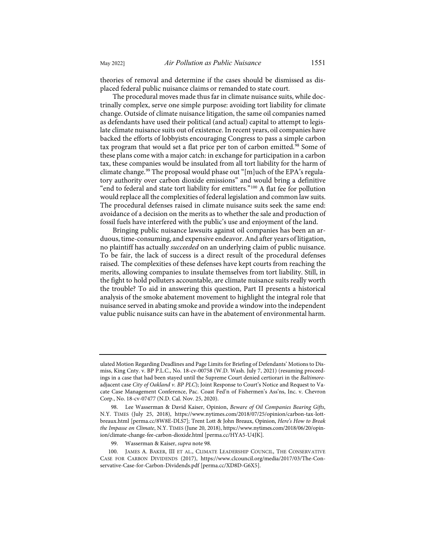theories of removal and determine if the cases should be dismissed as displaced federal public nuisance claims or remanded to state court.

<span id="page-16-0"></span>The procedural moves made thus far in climate nuisance suits, while doctrinally complex, serve one simple purpose: avoiding tort liability for climate change. Outside of climate nuisance litigation, the same oil companies named as defendants have used their political (and actual) capital to attempt to legislate climate nuisance suits out of existence. In recent years, oil companies have backed the efforts of lobbyists encouraging Congress to pass a simple carbon tax program that would set a flat price per ton of carbon emitted.<sup>[98](#page-16-1)</sup> Some of these plans come with a major catch: in exchange for participation in a carbon tax, these companies would be insulated from all tort liability for the harm of climate change.<sup>[99](#page-16-2)</sup> The proposal would phase out "[m]uch of the EPA's regulatory authority over carbon dioxide emissions" and would bring a definitive "end to federal and state tort liability for emitters.["100](#page-16-3) A flat fee for pollution would replace all the complexities of federal legislation and common law suits. The procedural defenses raised in climate nuisance suits seek the same end: avoidance of a decision on the merits as to whether the sale and production of fossil fuels have interfered with the public's use and enjoyment of the land.

Bringing public nuisance lawsuits against oil companies has been an arduous, time-consuming, and expensive endeavor. And after years of litigation, no plaintiff has actually *succeeded* on an underlying claim of public nuisance. To be fair, the lack of success is a direct result of the procedural defenses raised. The complexities of these defenses have kept courts from reaching the merits, allowing companies to insulate themselves from tort liability. Still, in the fight to hold polluters accountable, are climate nuisance suits really worth the trouble? To aid in answering this question, Part II presents a historical analysis of the smoke abatement movement to highlight the integral role that nuisance served in abating smoke and provide a window into the independent value public nuisance suits can have in the abatement of environmental harm.

ulated Motion Regarding Deadlines and Page Limits for Briefing of Defendants' Motions to Dismiss, King Cnty. v. BP P.L.C., No. 18-cv-00758 (W.D. Wash. July 7, 2021) (resuming proceedings in a case that had been stayed until the Supreme Court denied certiorari in the *Baltimore*adjacent case *City of Oakland v. BP PLC*); Joint Response to Court's Notice and Request to Vacate Case Management Conference, Pac. Coast Fed'n of Fishermen's Ass'ns, Inc. v. Chevron Corp., No. 18-cv-07477 (N.D. Cal. Nov. 25, 2020).

<span id="page-16-1"></span><sup>98.</sup> Lee Wasserman & David Kaiser, Opinion, *Beware of Oil Companies Bearing Gifts*, N.Y. TIMES (July 25, 2018), [https://www.nytimes.com/2018/07/25/opinion/carbon-tax-lott](https://www.nytimes.com/2018/07/25/opinion/carbon-tax-lott-breaux.html)[breaux.html](https://www.nytimes.com/2018/07/25/opinion/carbon-tax-lott-breaux.html) [\[perma.cc/8W8E-DLS7\]](https://perma.cc/8W8E-DLS7); Trent Lott & John Breaux, Opinion, *Here's How to Break the Impasse on Climate*, N.Y. TIMES (June 20, 2018), [https://www.nytimes.com/2018/06/20/opin](https://www.nytimes.com/2018/06/20/opinion/climate-change-fee-carbon-dioxide.html)[ion/climate-change-fee-carbon-dioxide.html](https://www.nytimes.com/2018/06/20/opinion/climate-change-fee-carbon-dioxide.html) [\[perma.cc/HYA5-U4JK\]](https://perma.cc/HYA5-U4JK).

<sup>99.</sup> Wasserman & Kaiser, *supra* not[e 98.](#page-16-0) 

<span id="page-16-3"></span><span id="page-16-2"></span><sup>100.</sup> JAMES A. BAKER, III ET AL., CLIMATE LEADERSHIP COUNCIL, THE CONSERVATIVE CASE FOR CARBON DIVIDENDS (2017), [https://www.clcouncil.org/media/2017/03/The-Con](https://www.clcouncil.org/media/2017/03/The-Conservative-Case-for-Carbon-Dividends.pdf)[servative-Case-for-Carbon-Dividends.pdf](https://www.clcouncil.org/media/2017/03/The-Conservative-Case-for-Carbon-Dividends.pdf) [\[perma.cc/XD8D-G6X5\]](https://perma.cc/XD8D-G6X5).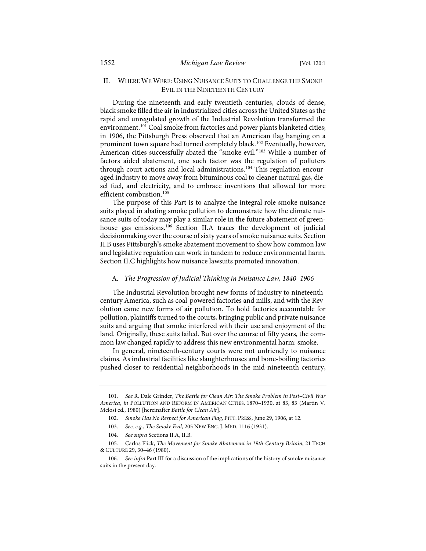# II. WHERE WE WERE: USING NUISANCE SUITS TO CHALLENGE THE SMOKE EVIL IN THE NINETEENTH CENTURY

<span id="page-17-6"></span>During the nineteenth and early twentieth centuries, clouds of dense, black smoke filled the air in industrialized cities across the United States as the rapid and unregulated growth of the Industrial Revolution transformed the environment.<sup>[101](#page-17-0)</sup> Coal smoke from factories and power plants blanketed cities; in 1906, the Pittsburgh Press observed that an American flag hanging on a prominent town square had turned completely black.<sup>[102](#page-17-1)</sup> Eventually, however, American cities successfully abated the "smoke evil."<sup>[103](#page-17-2)</sup> While a number of factors aided abatement, one such factor was the regulation of polluters through court actions and local administrations.<sup>[104](#page-17-3)</sup> This regulation encouraged industry to move away from bituminous coal to cleaner natural gas, diesel fuel, and electricity, and to embrace inventions that allowed for more efficient combustion.<sup>[105](#page-17-4)</sup>

<span id="page-17-7"></span>The purpose of this Part is to analyze the integral role smoke nuisance suits played in abating smoke pollution to demonstrate how the climate nuisance suits of today may play a similar role in the future abatement of green-house gas emissions.<sup>[106](#page-17-5)</sup> Section II.A traces the development of judicial decisionmaking over the course of sixty years of smoke nuisance suits. Section II.B uses Pittsburgh's smoke abatement movement to show how common law and legislative regulation can work in tandem to reduce environmental harm. Section II.C highlights how nuisance lawsuits promoted innovation.

#### A*. The Progression of Judicial Thinking in Nuisance Law, 1840–1906*

The Industrial Revolution brought new forms of industry to nineteenthcentury America, such as coal-powered factories and mills, and with the Revolution came new forms of air pollution. To hold factories accountable for pollution, plaintiffs turned to the courts, bringing public and private nuisance suits and arguing that smoke interfered with their use and enjoyment of the land. Originally, these suits failed. But over the course of fifty years, the common law changed rapidly to address this new environmental harm: smoke.

In general, nineteenth-century courts were not unfriendly to nuisance claims. As industrial facilities like slaughterhouses and bone-boiling factories pushed closer to residential neighborhoods in the mid-nineteenth century,

<span id="page-17-1"></span><span id="page-17-0"></span><sup>101.</sup> *See* R. Dale Grinder, *The Battle for Clean Air: The Smoke Problem in Post–Civil War America*, *in* POLLUTION AND REFORM IN AMERICAN CITIES, 1870–1930, at 83, 83 (Martin V. Melosi ed., 1980) [hereinafter *Battle for Clean Air*].

<sup>102.</sup> *Smoke Has No Respect for American Flag*, PITT. PRESS, June 29, 1906, at 12.

<sup>103.</sup> *See, e.g.*, *The Smoke Evil*, 205 NEW ENG. J. MED. 1116 (1931).

<sup>104.</sup> *See supra* Sections II.A, II.B.

<span id="page-17-4"></span><span id="page-17-3"></span><span id="page-17-2"></span><sup>105.</sup> Carlos Flick, *The Movement for Smoke Abatement in 19th-Century Britain*, 21 TECH & CULTURE 29, 30–46 (1980).

<span id="page-17-5"></span><sup>106.</sup> *See infra* Part III for a discussion of the implications of the history of smoke nuisance suits in the present day.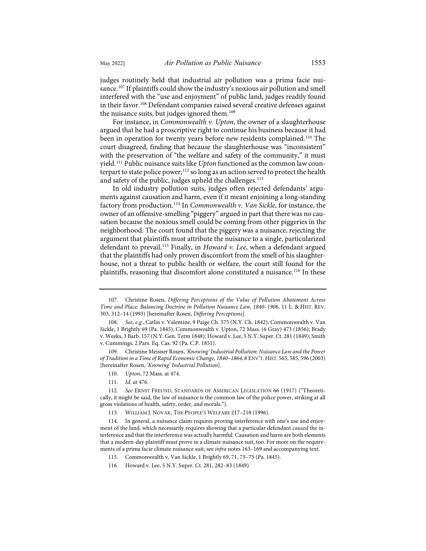<span id="page-18-14"></span>judges routinely held that industrial air pollution was a prima facie nui-sance.<sup>[107](#page-18-0)</sup> If plaintiffs could show the industry's noxious air pollution and smell interfered with the "use and enjoyment" of public land, judges readily found in their favor.<sup>[108](#page-18-1)</sup> Defendant companies raised several creative defenses against the nuisance suits, but judges ignored them.<sup>[109](#page-18-2)</sup>

<span id="page-18-11"></span><span id="page-18-10"></span>For instance, in *Commonwealth v. Upton*, the owner of a slaughterhouse argued that he had a proscriptive right to continue his business because it had been in operation for twenty years before new residents complained.<sup>[110](#page-18-3)</sup> The court disagreed, finding that because the slaughterhouse was "inconsistent" with the preservation of "the welfare and safety of the community," it must yield.[111](#page-18-4) Public nuisance suits like *Upton* functioned as the common law counterpart to state police power;<sup>112</sup> so long as an action served to protect the health and safety of the public, judges upheld the challenges.<sup>[113](#page-18-6)</sup>

<span id="page-18-13"></span><span id="page-18-12"></span>In old industry pollution suits, judges often rejected defendants' arguments against causation and harm, even if it meant enjoining a long-standing factory from production.[114](#page-18-7) In *Commonwealth v. Van Sickle*, for instance, the owner of an offensive-smelling "piggery" argued in part that there was no causation because the noxious smell could be coming from other piggeries in the neighborhood. The court found that the piggery was a nuisance, rejecting the argument that plaintiffs must attribute the nuisance to a single, particularized defendant to prevail.[115](#page-18-8) Finally, in *Howard v. Lee*, when a defendant argued that the plaintiffs had only proven discomfort from the smell of his slaughterhouse, not a threat to public health or welfare, the court still found for the plaintiffs, reasoning that discomfort alone constituted a nuisance.<sup>[116](#page-18-9)</sup> In these

<span id="page-18-0"></span><sup>107.</sup> Christine Rosen, *Differing Perceptions of the Value of Pollution Abatement Across Time and Place: Balancing Doctrine in Pollution Nuisance Law, 1840–1906*, 11 L. & HIST. REV. 303, 312–14 (1993) [hereinafter Rosen, *Differing Perceptions*].

<span id="page-18-1"></span><sup>108.</sup> *See, e.g.*, Catlin v. Valentine, 9 Paige Ch. 575 (N.Y. Ch. 1842); Commonwealth v. Van Sickle, 1 Brightly 69 (Pa. 1845); Commonwealth v. Upton, 72 Mass. (6 Gray) 473 (1856); Brady v. Weeks, 3 Barb. 157 (N.Y. Gen. Term 1848); Howard v. Lee, 5 N.Y. Super. Ct. 281 (1849); Smith v. Cummings, 2 Pars. Eq. Cas. 92 (Pa. C.P. 1851).

<span id="page-18-2"></span><sup>109.</sup> Christine Meisner Rosen, *'Knowing' Industrial Pollution: Nuisance Law and the Power of Tradition in a Time of Rapid Economic Change, 1840*–*1864*, 8 ENV'T.HIST. 565, 585, 596 (2003) [hereinafter Rosen, *'Knowing' Industrial Pollution*].

<sup>110.</sup> *Upton*, 72 Mass. at 474.

<sup>111.</sup> *Id.* at 476.

<span id="page-18-5"></span><span id="page-18-4"></span><span id="page-18-3"></span><sup>112.</sup> *See* ERNST FREUND, STANDARDS OF AMERICAN LEGISLATION 66 (1917) ("Theoretically, it might be said, the law of nuisance is the common law of the police power, striking at all gross violations of health, safety, order, and morals.").

<sup>113.</sup> WILLIAM J. NOVAK, THE PEOPLE'S WELFARE 217–218 (1996).

<span id="page-18-8"></span><span id="page-18-7"></span><span id="page-18-6"></span><sup>114.</sup> In general, a nuisance claim requires proving interference with one's use and enjoyment of the land, which necessarily requires showing that a particular defendant *caused* the interference and that the interference was actually harmful. Causation and harm are both elements that a modern-day plaintiff must prove in a climate nuisance suit, too. For more on the requirements of a prima facie climate nuisance suit, see *infra* note[s 163](#page-24-0)[–169](#page-25-0) and accompanying text.

<sup>115.</sup> Commonwealth v. Van Sickle, 1 Brightly 69, 71, 73–75 (Pa. 1845).

<span id="page-18-9"></span><sup>116.</sup> Howard v. Lee, 5 N.Y. Super. Ct. 281, 282–83 (1849).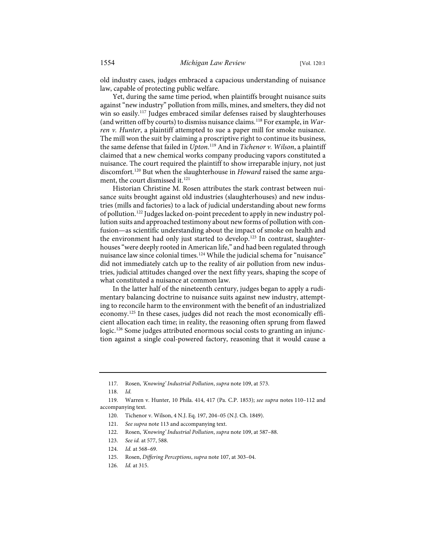old industry cases, judges embraced a capacious understanding of nuisance law, capable of protecting public welfare.

<span id="page-19-10"></span>Yet, during the same time period, when plaintiffs brought nuisance suits against "new industry" pollution from mills, mines, and smelters, they did not win so easily.<sup>[117](#page-19-0)</sup> Judges embraced similar defenses raised by slaughterhouses (and written off by courts) to dismiss nuisance claims.[118](#page-19-1) For example, in *Warren v. Hunter*, a plaintiff attempted to sue a paper mill for smoke nuisance. The mill won the suit by claiming a proscriptive right to continue its business, the same defense that failed in *Upton*. [119](#page-19-2) And in *Tichenor v. Wilson*, a plaintiff claimed that a new chemical works company producing vapors constituted a nuisance. The court required the plaintiff to show irreparable injury, not just discomfort.[120](#page-19-3) But when the slaughterhouse in *Howard* raised the same argu-ment, the court dismissed it.<sup>[121](#page-19-4)</sup>

<span id="page-19-11"></span>Historian Christine M. Rosen attributes the stark contrast between nuisance suits brought against old industries (slaughterhouses) and new industries (mills and factories) to a lack of judicial understanding about new forms of pollution.[122](#page-19-5) Judges lacked on-point precedent to apply in new industry pollution suits and approached testimony about new forms of pollution with confusion—as scientific understanding about the impact of smoke on health and the environment had only just started to develop.<sup>[123](#page-19-6)</sup> In contrast, slaughterhouses "were deeply rooted in American life," and had been regulated through nuisance law since colonial times[.124](#page-19-7) While the judicial schema for "nuisance" did not immediately catch up to the reality of air pollution from new industries, judicial attitudes changed over the next fifty years, shaping the scope of what constituted a nuisance at common law.

<span id="page-19-12"></span>In the latter half of the nineteenth century, judges began to apply a rudimentary balancing doctrine to nuisance suits against new industry, attempting to reconcile harm to the environment with the benefit of an industrialized economy.[125](#page-19-8) In these cases, judges did not reach the most economically efficient allocation each time; in reality, the reasoning often sprung from flawed logic.[126](#page-19-9) Some judges attributed enormous social costs to granting an injunction against a single coal-powered factory, reasoning that it would cause a

<sup>117.</sup> Rosen, *'Knowing' Industrial Pollution*, *supra* not[e 109,](#page-18-10) at 573.

<sup>118.</sup> *Id.*

<span id="page-19-6"></span><span id="page-19-5"></span><span id="page-19-4"></span><span id="page-19-3"></span><span id="page-19-2"></span><span id="page-19-1"></span><span id="page-19-0"></span><sup>119.</sup> Warren v. Hunter, 10 Phila. 414, 417 (Pa. C.P. 1853); *see supra* note[s 110](#page-18-11)[–112](#page-18-12) and accompanying text.

<sup>120.</sup> Tichenor v. Wilson, 4 N.J. Eq. 197, 204–05 (N.J. Ch. 1849).

<sup>121.</sup> *See supra* not[e 113](#page-18-13) and accompanying text.

<sup>122.</sup> Rosen, *'Knowing' Industrial Pollution*, *supra* not[e 109,](#page-18-10) at 587–88.

<sup>123.</sup> *See id.* at 577, 588.

<span id="page-19-7"></span><sup>124.</sup> *Id.* at 568–69.

<sup>125.</sup> Rosen, *Differing Perceptions*, *supra* not[e 107,](#page-18-14) at 303–04.

<span id="page-19-9"></span><span id="page-19-8"></span><sup>126.</sup> *Id.* at 315.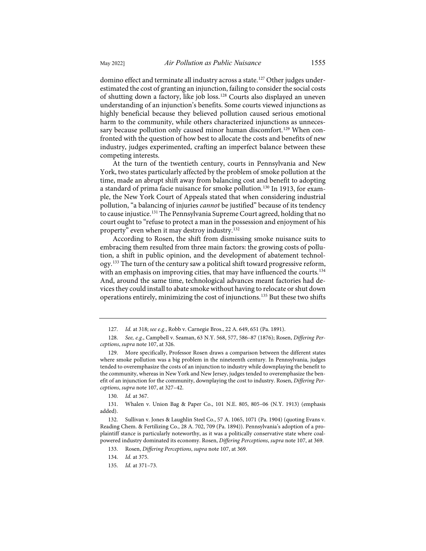<span id="page-20-13"></span><span id="page-20-12"></span>domino effect and terminate all industry across a state.<sup>[127](#page-20-0)</sup> Other judges underestimated the cost of granting an injunction, failing to consider the social costs of shutting down a factory, like job loss.[128](#page-20-1) Courts also displayed an uneven understanding of an injunction's benefits. Some courts viewed injunctions as highly beneficial because they believed pollution caused serious emotional harm to the community, while others characterized injunctions as unneces-sary because pollution only caused minor human discomfort.<sup>[129](#page-20-2)</sup> When confronted with the question of how best to allocate the costs and benefits of new industry, judges experimented, crafting an imperfect balance between these competing interests.

<span id="page-20-10"></span><span id="page-20-9"></span>At the turn of the twentieth century, courts in Pennsylvania and New York, two states particularly affected by the problem of smoke pollution at the time, made an abrupt shift away from balancing cost and benefit to adopting a standard of prima facie nuisance for smoke pollution.[130](#page-20-3) In 1913, for example, the New York Court of Appeals stated that when considering industrial pollution, "a balancing of injuries *cannot* be justified" because of its tendency to cause injustice.<sup>[131](#page-20-4)</sup> The Pennsylvania Supreme Court agreed, holding that no court ought to "refuse to protect a man in the possession and enjoyment of his property" even when it may destroy industry.[132](#page-20-5)

<span id="page-20-11"></span>According to Rosen, the shift from dismissing smoke nuisance suits to embracing them resulted from three main factors: the growing costs of pollution, a shift in public opinion, and the development of abatement technology.[133](#page-20-6) The turn of the century saw a political shift toward progressive reform, with an emphasis on improving cities, that may have influenced the courts.<sup>[134](#page-20-7)</sup> And, around the same time, technological advances meant factories had devices they could install to abate smoke without having to relocate or shut down operations entirely, minimizing the cost of injunctions.[135](#page-20-8) But these two shifts

130. *Id.* at 367.

<span id="page-20-4"></span><span id="page-20-3"></span>131. Whalen v. Union Bag & Paper Co., 101 N.E. 805, 805–06 (N.Y. 1913) (emphasis added).

<sup>127.</sup> *Id.* at 318; *see e.g.*, Robb v. Carnegie Bros., 22 A. 649, 651 (Pa. 1891).

<span id="page-20-1"></span><span id="page-20-0"></span><sup>128.</sup> *See, e.g.*, Campbell v. Seaman, 63 N.Y. 568, 577, 586–87 (1876); Rosen, *Differing Perceptions*, *supra* note [107,](#page-18-14) at 326.

<span id="page-20-2"></span><sup>129.</sup> More specifically, Professor Rosen draws a comparison between the different states where smoke pollution was a big problem in the nineteenth century. In Pennsylvania, judges tended to overemphasize the costs of an injunction to industry while downplaying the benefit to the community, whereas in New York and New Jersey, judges tended to overemphasize the benefit of an injunction for the community, downplaying the cost to industry. Rosen, *Differing Perceptions*, *supra* note [107,](#page-18-14) at 327–42.

<span id="page-20-7"></span><span id="page-20-6"></span><span id="page-20-5"></span><sup>132.</sup> Sullivan v. Jones & Laughlin Steel Co., 57 A. 1065, 1071 (Pa. 1904) (quoting Evans v. Reading Chem. & Fertilizing Co., 28 A. 702, 709 (Pa. 1894)). Pennsylvania's adoption of a proplaintiff stance is particularly noteworthy, as it was a politically conservative state where coalpowered industry dominated its economy. Rosen, *Differing Perceptions*, *supra* not[e 107,](#page-18-14) at 369.

<sup>133.</sup> Rosen, *Differing Perceptions*, *supra* not[e 107,](#page-18-14) at 369.

<sup>134.</sup> *Id.* at 375.

<span id="page-20-8"></span><sup>135.</sup> *Id.* at 371–73.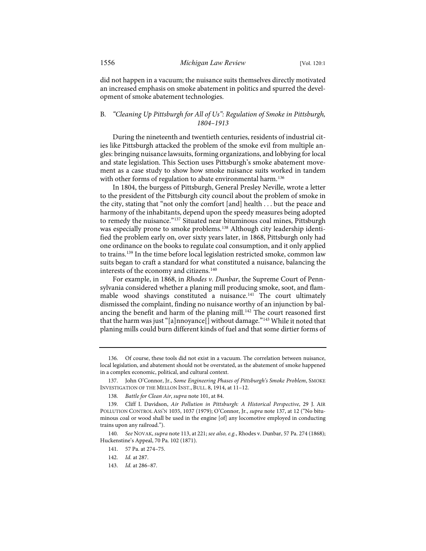did not happen in a vacuum; the nuisance suits themselves directly motivated an increased emphasis on smoke abatement in politics and spurred the development of smoke abatement technologies.

# B*. "Cleaning Up Pittsburgh for All of Us": Regulation of Smoke in Pittsburgh, 1804–1913*

During the nineteenth and twentieth centuries, residents of industrial cities like Pittsburgh attacked the problem of the smoke evil from multiple angles: bringing nuisance lawsuits, forming organizations, and lobbying for local and state legislation. This Section uses Pittsburgh's smoke abatement movement as a case study to show how smoke nuisance suits worked in tandem with other forms of regulation to abate environmental harm.<sup>[136](#page-21-1)</sup>

<span id="page-21-0"></span>In 1804, the burgess of Pittsburgh, General Presley Neville, wrote a letter to the president of the Pittsburgh city council about the problem of smoke in the city, stating that "not only the comfort [and] health . . . but the peace and harmony of the inhabitants, depend upon the speedy measures being adopted to remedy the nuisance."<sup>137</sup> Situated near bituminous coal mines, Pittsburgh was especially prone to smoke problems.<sup>[138](#page-21-3)</sup> Although city leadership identified the problem early on, over sixty years later, in 1868, Pittsburgh only had one ordinance on the books to regulate coal consumption, and it only applied to trains.<sup>[139](#page-21-4)</sup> In the time before local legislation restricted smoke, common law suits began to craft a standard for what constituted a nuisance, balancing the interests of the economy and citizens.<sup>[140](#page-21-5)</sup>

<span id="page-21-9"></span>For example, in 1868, in *Rhodes v. Dunbar*, the Supreme Court of Pennsylvania considered whether a planing mill producing smoke, soot, and flam-mable wood shavings constituted a nuisance.<sup>[141](#page-21-6)</sup> The court ultimately dismissed the complaint, finding no nuisance worthy of an injunction by bal-ancing the benefit and harm of the planing mill.<sup>[142](#page-21-7)</sup> The court reasoned first that the harm was just "[a]nnoyance[] without damage."<sup>[143](#page-21-8)</sup> While it noted that planing mills could burn different kinds of fuel and that some dirtier forms of

<span id="page-21-1"></span><sup>136.</sup> Of course, these tools did not exist in a vacuum. The correlation between nuisance, local legislation, and abatement should not be overstated, as the abatement of smoke happened in a complex economic, political, and cultural context.

<span id="page-21-2"></span><sup>137.</sup> John O'Connor, Jr., *Some Engineering Phases of Pittsburgh's Smoke Problem*, SMOKE INVESTIGATION OF THE MELLON INST., BULL. 8, 1914, at 11–12.

<sup>138.</sup> *Battle for Clean Air*, *supra* not[e 101,](#page-17-6) at 84.

<span id="page-21-4"></span><span id="page-21-3"></span><sup>139.</sup> Cliff I. Davidson, *Air Pollution in Pittsburgh: A Historical Perspective*, 29 J. AIR POLLUTION CONTROL ASS'N 1035, 1037 (1979); O'Connor, Jr., *supra* not[e 137,](#page-21-0) at 12 ("No bituminous coal or wood shall be used in the engine [of] any locomotive employed in conducting trains upon any railroad.").

<span id="page-21-8"></span><span id="page-21-7"></span><span id="page-21-6"></span><span id="page-21-5"></span><sup>140.</sup> *See* NOVAK, *supra* not[e 113,](#page-18-13) at 221; *see also, e.g.*, Rhodes v. Dunbar, 57 Pa. 274 (1868); Huckenstine's Appeal, 70 Pa. 102 (1871).

<sup>141. 57</sup> Pa. at 274–75.

<sup>142.</sup> *Id.* at 287.

<sup>143.</sup> *Id.* at 286–87.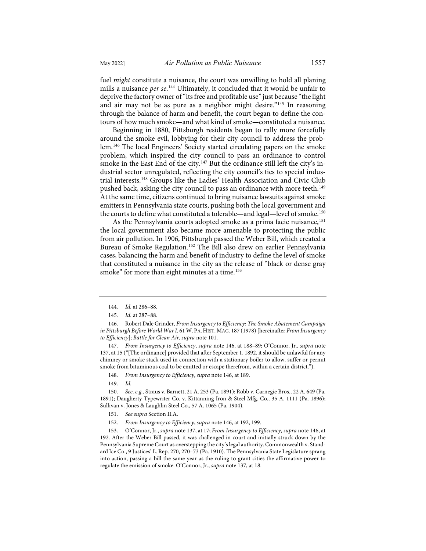<span id="page-22-13"></span>fuel *might* constitute a nuisance, the court was unwilling to hold all planing mills a nuisance *per se*. [144](#page-22-1) Ultimately, it concluded that it would be unfair to deprive the factory owner of "its free and profitable use" just because "the light and air may not be as pure as a neighbor might desire."[145](#page-22-2) In reasoning through the balance of harm and benefit, the court began to define the contours of how much smoke—and what kind of smoke—constituted a nuisance.

<span id="page-22-0"></span>Beginning in 1880, Pittsburgh residents began to rally more forcefully around the smoke evil, lobbying for their city council to address the problem.[146](#page-22-3) The local Engineers' Society started circulating papers on the smoke problem, which inspired the city council to pass an ordinance to control smoke in the East End of the city.<sup>[147](#page-22-4)</sup> But the ordinance still left the city's industrial sector unregulated, reflecting the city council's ties to special industrial interests.[148](#page-22-5) Groups like the Ladies' Health Association and Civic Club pushed back, asking the city council to pass an ordinance with more teeth.[149](#page-22-6) At the same time, citizens continued to bring nuisance lawsuits against smoke emitters in Pennsylvania state courts, pushing both the local government and the courts to define what constituted a tolerable—and legal—level of smoke.<sup>[150](#page-22-7)</sup>

<span id="page-22-14"></span><span id="page-22-11"></span>As the Pennsylvania courts adopted smoke as a prima facie nuisance,<sup>[151](#page-22-8)</sup> the local government also became more amenable to protecting the public from air pollution. In 1906, Pittsburgh passed the Weber Bill, which created a Bureau of Smoke Regulation.[152](#page-22-9) The Bill also drew on earlier Pennsylvania cases, balancing the harm and benefit of industry to define the level of smoke that constituted a nuisance in the city as the release of "black or dense gray smoke" for more than eight minutes at a time.<sup>[153](#page-22-10)</sup>

<span id="page-22-4"></span>147. *From Insurgency to Efficiency*, *supra* not[e 146,](#page-22-0) at 188–89; O'Connor, Jr., *supra* note [137,](#page-21-0) at 15 ("[The ordinance] provided that after September 1, 1892, it should be unlawful for any chimney or smoke stack used in connection with a stationary boiler to allow, suffer or permit smoke from bituminous coal to be emitted or escape therefrom, within a certain district.").

- 148. *From Insurgency to Efficiency*, *supra* not[e 146,](#page-22-0) at 189.
- 149. *Id.*

<span id="page-22-7"></span><span id="page-22-6"></span><span id="page-22-5"></span>150. *See, e.g.*, Straus v. Barnett, 21 A. 253 (Pa. 1891); Robb v. Carnegie Bros., 22 A. 649 (Pa. 1891); Daugherty Typewriter Co. v. Kittanning Iron & Steel Mfg. Co., 35 A. 1111 (Pa. 1896); Sullivan v. Jones & Laughlin Steel Co., 57 A. 1065 (Pa. 1904).

- 151. *See supra* Section II.A.
- 152. *From Insurgency to Efficiency*, *supra* not[e 146,](#page-22-0) at 192, 199.

<span id="page-22-10"></span><span id="page-22-9"></span><span id="page-22-8"></span>153. O'Connor, Jr., *supra* not[e 137,](#page-21-0) at 17; *From Insurgency to Efficiency*, *supra* not[e 146,](#page-22-0) at 192. After the Weber Bill passed, it was challenged in court and initially struck down by the Pennsylvania Supreme Court as overstepping the city's legal authority. Commonwealth v. Standard Ice Co., 9 Justices' L. Rep. 270, 270–73 (Pa. 1910). The Pennsylvania State Legislature sprang into action, passing a bill the same year as the ruling to grant cities the affirmative power to regulate the emission of smoke. O'Connor, Jr., *supra* not[e 137,](#page-21-0) at 18.

<span id="page-22-12"></span><sup>144.</sup> *Id.* at 286–88.

<sup>145.</sup> *Id.* at 287–88.

<span id="page-22-3"></span><span id="page-22-2"></span><span id="page-22-1"></span><sup>146.</sup> Robert Dale Grinder, *From Insurgency to Efficiency: The Smoke Abatement Campaign in Pittsburgh Before World War I*, 61 W.PA.HIST. MAG. 187 (1978) [hereinafter *From Insurgency to Efficiency*]; *Battle for Clean Air*, *supra* not[e 101.](#page-17-6)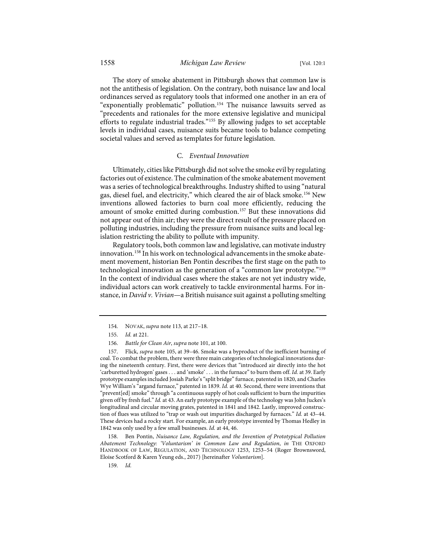The story of smoke abatement in Pittsburgh shows that common law is not the antithesis of legislation. On the contrary, both nuisance law and local ordinances served as regulatory tools that informed one another in an era of "exponentially problematic" pollution.[154](#page-23-0) The nuisance lawsuits served as "precedents and rationales for the more extensive legislative and municipal efforts to regulate industrial trades."[155](#page-23-1) By allowing judges to set acceptable levels in individual cases, nuisance suits became tools to balance competing societal values and served as templates for future legislation.

#### C*. Eventual Innovation*

Ultimately, cities like Pittsburgh did not solve the smoke evil by regulating factories out of existence. The culmination of the smoke abatement movement was a series of technological breakthroughs. Industry shifted to using "natural gas, diesel fuel, and electricity," which cleared the air of black smoke.[156](#page-23-2) New inventions allowed factories to burn coal more efficiently, reducing the amount of smoke emitted during combustion.<sup>[157](#page-23-3)</sup> But these innovations did not appear out of thin air; they were the direct result of the pressure placed on polluting industries, including the pressure from nuisance suits and local legislation restricting the ability to pollute with impunity.

<span id="page-23-6"></span>Regulatory tools, both common law and legislative, can motivate industry innovation.<sup>[158](#page-23-4)</sup> In his work on technological advancements in the smoke abatement movement, historian Ben Pontin describes the first stage on the path to technological innovation as the generation of a "common law prototype."[159](#page-23-5) In the context of individual cases where the stakes are not yet industry wide, individual actors can work creatively to tackle environmental harms. For instance, in *David v. Vivian*—a British nuisance suit against a polluting smelting

<span id="page-23-5"></span><span id="page-23-4"></span>158. Ben Pontin, *Nuisance Law, Regulation, and the Invention of Prototypical Pollution Abatement Technology: 'Voluntarism' in Common Law and Regulation*, *in* THE OXFORD HANDBOOK OF LAW, REGULATION, AND TECHNOLOGY 1253, 1253–54 (Roger Brownsword, Eloise Scotford & Karen Yeung eds., 2017) [hereinafter *Voluntarism*].

159. *Id.*

<sup>154.</sup> NOVAK, *supra* not[e 113,](#page-18-13) at 217–18.

<sup>155.</sup> *Id.* at 221.

<sup>156.</sup> *Battle for Clean Air*, *supra* not[e 101,](#page-17-6) at 100.

<span id="page-23-3"></span><span id="page-23-2"></span><span id="page-23-1"></span><span id="page-23-0"></span><sup>157.</sup> Flick, *supra* not[e 105,](#page-17-7) at 39–46. Smoke was a byproduct of the inefficient burning of coal. To combat the problem, there were three main categories of technological innovations during the nineteenth century. First, there were devices that "introduced air directly into the hot 'carburetted hydrogen' gases . . . and 'smoke' . . . in the furnace" to burn them off. *Id.* at 39. Early prototype examples included Josiah Parke's "split bridge" furnace, patented in 1820, and Charles Wye William's "argand furnace," patented in 1839. *Id.* at 40. Second, there were inventions that "prevent[ed] smoke" through "a continuous supply of hot coals sufficient to burn the impurities given off by fresh fuel." *Id.* at 43. An early prototype example of the technology was John Juckes's longitudinal and circular moving grates, patented in 1841 and 1842. Lastly, improved construction of flues was utilized to "trap or wash out impurities discharged by furnaces." *Id.* at 43–44. These devices had a rocky start. For example, an early prototype invented by Thomas Hedley in 1842 was only used by a few small businesses. *Id.* at 44, 46.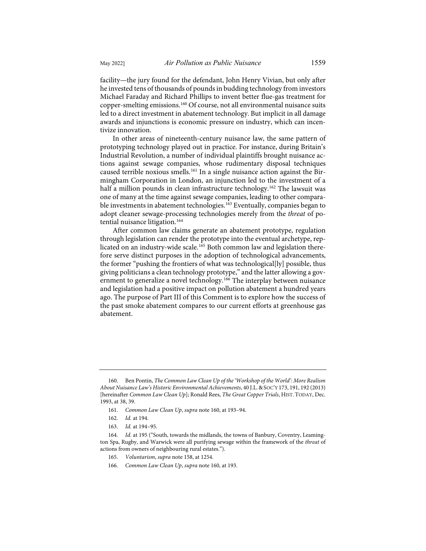<span id="page-24-1"></span>facility—the jury found for the defendant, John Henry Vivian, but only after he invested tens of thousands of pounds in budding technology from investors Michael Faraday and Richard Phillips to invent better flue-gas treatment for copper-smelting emissions.[160](#page-24-2) Of course, not all environmental nuisance suits led to a direct investment in abatement technology. But implicit in all damage awards and injunctions is economic pressure on industry, which can incentivize innovation.

In other areas of nineteenth-century nuisance law, the same pattern of prototyping technology played out in practice. For instance, during Britain's Industrial Revolution, a number of individual plaintiffs brought nuisance actions against sewage companies, whose rudimentary disposal techniques caused terrible noxious smells.[161](#page-24-3) In a single nuisance action against the Birmingham Corporation in London, an injunction led to the investment of a half a million pounds in clean infrastructure technology.<sup>[162](#page-24-4)</sup> The lawsuit was one of many at the time against sewage companies, leading to other compara-ble investments in abatement technologies.<sup>[163](#page-24-5)</sup> Eventually, companies began to adopt cleaner sewage-processing technologies merely from the *threat* of po-tential nuisance litigation.<sup>[164](#page-24-6)</sup>

<span id="page-24-0"></span>After common law claims generate an abatement prototype, regulation through legislation can render the prototype into the eventual archetype, replicated on an industry-wide scale.[165](#page-24-7) Both common law and legislation therefore serve distinct purposes in the adoption of technological advancements, the former "pushing the frontiers of what was technological[ly] possible, thus giving politicians a clean technology prototype," and the latter allowing a gov-ernment to generalize a novel technology.<sup>[166](#page-24-8)</sup> The interplay between nuisance and legislation had a positive impact on pollution abatement a hundred years ago. The purpose of Part III of this Comment is to explore how the success of the past smoke abatement compares to our current efforts at greenhouse gas abatement.

<span id="page-24-2"></span><sup>160.</sup> Ben Pontin, *The Common Law Clean Up of the 'Workshop of the World': More Realism About Nuisance Law's Historic Environmental Achievements*, 40 J.L.&SOC'Y 173, 191, 192 (2013) [hereinafter *Common Law Clean Up*]; Ronald Rees, *The Great Copper Trials*, HIST. TODAY, Dec. 1993, at 38, 39.

<sup>161.</sup> *Common Law Clean Up*, *supra* not[e 160,](#page-24-1) at 193–94.

<sup>162.</sup> *Id.* at 194.

<sup>163.</sup> *Id.* at 194–95.

<span id="page-24-8"></span><span id="page-24-7"></span><span id="page-24-6"></span><span id="page-24-5"></span><span id="page-24-4"></span><span id="page-24-3"></span><sup>164.</sup> *Id.* at 195 ("South, towards the midlands, the towns of Banbury, Coventry, Leamington Spa, Rugby, and Warwick were all purifying sewage within the framework of the *threat* of actions from owners of neighbouring rural estates.").

<sup>165.</sup> *Voluntarism*, *supra* not[e 158,](#page-23-6) at 1254.

<sup>166.</sup> *Common Law Clean Up*, *supra* not[e 160,](#page-24-1) at 193.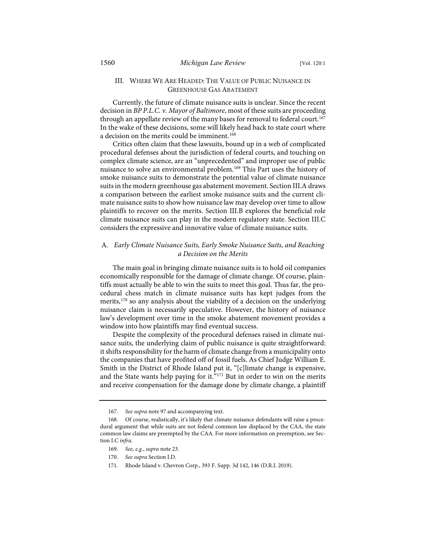# III. WHERE WE ARE HEADED: THE VALUE OF PUBLIC NUISANCE IN GREENHOUSE GAS ABATEMENT

Currently, the future of climate nuisance suits is unclear. Since the recent decision in *BP P.L.C. v. Mayor of Baltimore*, most of these suits are proceeding through an appellate review of the many bases for removal to federal court.<sup>[167](#page-25-1)</sup> In the wake of these decisions, some will likely head back to state court where a decision on the merits could be imminent.<sup>[168](#page-25-2)</sup>

<span id="page-25-0"></span>Critics often claim that these lawsuits, bound up in a web of complicated procedural defenses about the jurisdiction of federal courts, and touching on complex climate science, are an "unprecedented" and improper use of public nuisance to solve an environmental problem.<sup>169</sup> This Part uses the history of smoke nuisance suits to demonstrate the potential value of climate nuisance suits in the modern greenhouse gas abatement movement. Section III.A draws a comparison between the earliest smoke nuisance suits and the current climate nuisance suits to show how nuisance law may develop over time to allow plaintiffs to recover on the merits. Section III.B explores the beneficial role climate nuisance suits can play in the modern regulatory state. Section III.C considers the expressive and innovative value of climate nuisance suits.

# A*. Early Climate Nuisance Suits, Early Smoke Nuisance Suits, and Reaching a Decision on the Merits*

The main goal in bringing climate nuisance suits is to hold oil companies economically responsible for the damage of climate change. Of course, plaintiffs must actually be able to win the suits to meet this goal. Thus far, the procedural chess match in climate nuisance suits has kept judges from the merits,<sup>[170](#page-25-4)</sup> so any analysis about the viability of a decision on the underlying nuisance claim is necessarily speculative. However, the history of nuisance law's development over time in the smoke abatement movement provides a window into how plaintiffs may find eventual success.

Despite the complexity of the procedural defenses raised in climate nuisance suits, the underlying claim of public nuisance is quite straightforward: it shifts responsibility for the harm of climate change from a municipality onto the companies that have profited off of fossil fuels. As Chief Judge William E. Smith in the District of Rhode Island put it, "[c]limate change is expensive, and the State wants help paying for it.  $n_{171}$  $n_{171}$  $n_{171}$  But in order to win on the merits and receive compensation for the damage done by climate change, a plaintiff

<span id="page-25-5"></span>171. Rhode Island v. Chevron Corp., 393 F. Supp. 3d 142, 146 (D.R.I. 2019).

<sup>167.</sup> *See supra* not[e 97](#page-15-7) and accompanying text.

<span id="page-25-4"></span><span id="page-25-3"></span><span id="page-25-2"></span><span id="page-25-1"></span><sup>168.</sup> Of course, realistically, it's likely that climate nuisance defendants will raise a procedural argument that while suits are not federal common law displaced by the CAA, the state common law claims are preempted by the CAA. For more information on preemption, see Section I.C *infra*.

<sup>169.</sup> *See, e.g.*, *supra* not[e 23.](#page-5-7) 

<sup>170.</sup> *See supra* Section I.D.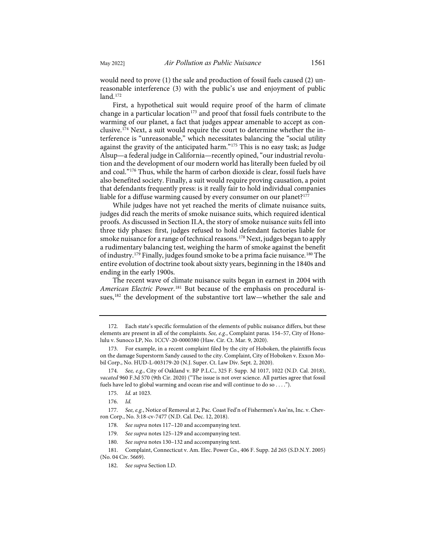would need to prove (1) the sale and production of fossil fuels caused (2) unreasonable interference (3) with the public's use and enjoyment of public land[.172](#page-26-0)

First, a hypothetical suit would require proof of the harm of climate change in a particular location<sup>[173](#page-26-1)</sup> and proof that fossil fuels contribute to the warming of our planet, a fact that judges appear amenable to accept as conclusive.[174](#page-26-2) Next, a suit would require the court to determine whether the interference is "unreasonable," which necessitates balancing the "social utility against the gravity of the anticipated harm."<sup>[175](#page-26-3)</sup> This is no easy task; as Judge Alsup—a federal judge in California—recently opined, "our industrial revolution and the development of our modern world has literally been fueled by oil and coal."[176](#page-26-4) Thus, while the harm of carbon dioxide is clear, fossil fuels have also benefited society. Finally, a suit would require proving causation, a point that defendants frequently press: is it really fair to hold individual companies liable for a diffuse warming caused by every consumer on our planet?<sup>[177](#page-26-5)</sup>

While judges have not yet reached the merits of climate nuisance suits, judges did reach the merits of smoke nuisance suits, which required identical proofs. As discussed in Section II.A, the story of smoke nuisance suits fell into three tidy phases: first, judges refused to hold defendant factories liable for smoke nuisance for a range of technical reasons.<sup>[178](#page-26-6)</sup> Next, judges began to apply a rudimentary balancing test, weighing the harm of smoke against the benefit of industry.<sup>[179](#page-26-7)</sup> Finally, judges found smoke to be a prima facie nuisance.<sup>[180](#page-26-8)</sup> The entire evolution of doctrine took about sixty years, beginning in the 1840s and ending in the early 1900s.

The recent wave of climate nuisance suits began in earnest in 2004 with American Electric Power.<sup>[181](#page-27-0)</sup> But because of the emphasis on procedural is-sues,<sup>[182](#page-27-1)</sup> the development of the substantive tort law—whether the sale and

<span id="page-26-4"></span><span id="page-26-3"></span><span id="page-26-2"></span>177. *See, e.g.*, Notice of Removal at 2, Pac. Coast Fed'n of Fishermen's Ass'ns, Inc. v. Chevron Corp., No. 3:18-cv-7477 (N.D. Cal. Dec. 12, 2018).

<sup>172.</sup> Each state's specific formulation of the elements of public nuisance differs, but these elements are present in all of the complaints. *See, e.g.*, Complaint paras. 154–57, City of Honolulu v. Sunoco LP, No. 1CCV-20-0000380 (Haw. Cir. Ct. Mar. 9, 2020).

<span id="page-26-0"></span><sup>173.</sup> For example, in a recent complaint filed by the city of Hoboken, the plaintiffs focus on the damage Superstorm Sandy caused to the city. Complaint, City of Hoboken v. Exxon Mobil Corp., No. HUD-L-003179-20 (N.J. Super. Ct. Law Div. Sept. 2, 2020).

<span id="page-26-1"></span><sup>174.</sup> *See, e.g.*, City of Oakland v. BP P.L.C., 325 F. Supp. 3d 1017, 1022 (N.D. Cal. 2018), *vacated* 960 F.3d 570 (9th Cir. 2020) ("The issue is not over science. All parties agree that fossil fuels have led to global warming and ocean rise and will continue to do so . . . .").

<sup>175.</sup> *Id.* at 1023.

<sup>176.</sup> *Id.*

<sup>178.</sup> *See supra* note[s 117](#page-19-10)[–120](#page-19-11) and accompanying text.

<sup>179.</sup> *See supra* note[s 125](#page-19-12)[–129](#page-20-9) and accompanying text.

<sup>180.</sup> *See supra* note[s 130](#page-20-10)[–132](#page-20-11) and accompanying text.

<span id="page-26-8"></span><span id="page-26-7"></span><span id="page-26-6"></span><span id="page-26-5"></span><sup>181.</sup> Complaint, Connecticut v. Am. Elec. Power Co., 406 F. Supp. 2d 265 (S.D.N.Y. 2005) (No. 04 Civ. 5669).

<sup>182.</sup> *See supra* Section I.D.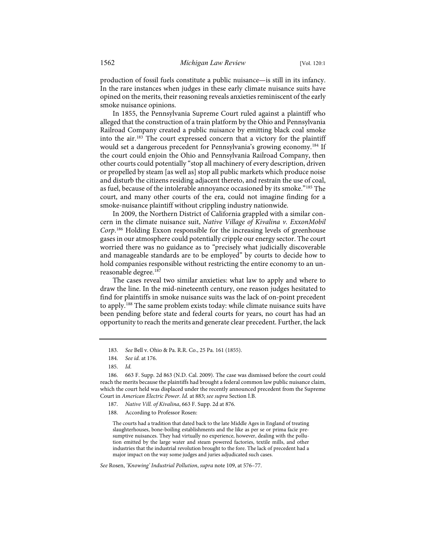production of fossil fuels constitute a public nuisance—is still in its infancy. In the rare instances when judges in these early climate nuisance suits have opined on the merits, their reasoning reveals anxieties reminiscent of the early smoke nuisance opinions.

In 1855, the Pennsylvania Supreme Court ruled against a plaintiff who alleged that the construction of a train platform by the Ohio and Pennsylvania Railroad Company created a public nuisance by emitting black coal smoke into the air.[183](#page-27-2) The court expressed concern that a victory for the plaintiff would set a dangerous precedent for Pennsylvania's growing economy.[184](#page-27-3) If the court could enjoin the Ohio and Pennsylvania Railroad Company, then other courts could potentially "stop all machinery of every description, driven or propelled by steam [as well as] stop all public markets which produce noise and disturb the citizens residing adjacent thereto, and restrain the use of coal, as fuel, because of the intolerable annoyance occasioned by its smoke."[185](#page-27-4) The court, and many other courts of the era, could not imagine finding for a smoke-nuisance plaintiff without crippling industry nationwide.

In 2009, the Northern District of California grappled with a similar concern in the climate nuisance suit, *Native Village of Kivalina v. ExxonMobil Corp*. [186](#page-27-5) Holding Exxon responsible for the increasing levels of greenhouse gases in our atmosphere could potentially cripple our energy sector. The court worried there was no guidance as to "precisely what judicially discoverable and manageable standards are to be employed" by courts to decide how to hold companies responsible without restricting the entire economy to an un-reasonable degree.<sup>[187](#page-27-6)</sup>

The cases reveal two similar anxieties: what law to apply and where to draw the line. In the mid-nineteenth century, one reason judges hesitated to find for plaintiffs in smoke nuisance suits was the lack of on-point precedent to apply.[188](#page-27-7) The same problem exists today: while climate nuisance suits have been pending before state and federal courts for years, no court has had an opportunity to reach the merits and generate clear precedent. Further, the lack

The courts had a tradition that dated back to the late Middle Ages in England of treating slaughterhouses, bone-boiling establishments and the like as per se or prima facie presumptive nuisances. They had virtually no experience, however, dealing with the pollution emitted by the large water and steam powered factories, textile mills, and other industries that the industrial revolution brought to the fore. The lack of precedent had a major impact on the way some judges and juries adjudicated such cases.

#### *See* Rosen, *'Knowing' Industrial Pollution*, *supra* not[e 109,](#page-18-10) at 576–77.

<sup>183.</sup> *See* Bell v. Ohio & Pa. R.R. Co., 25 Pa. 161 (1855).

<sup>184.</sup> *See id.* at 176.

<sup>185.</sup> *Id.*

<span id="page-27-7"></span><span id="page-27-6"></span><span id="page-27-5"></span><span id="page-27-4"></span><span id="page-27-3"></span><span id="page-27-2"></span><span id="page-27-1"></span><span id="page-27-0"></span><sup>186. 663</sup> F. Supp. 2d 863 (N.D. Cal. 2009). The case was dismissed before the court could reach the merits because the plaintiffs had brought a federal common law public nuisance claim, which the court held was displaced under the recently announced precedent from the Supreme Court in *American Electric Power*. *Id.* at 883; *see supra* Section I.B.

<sup>187.</sup> *Native Vill. of Kivalina*, 663 F. Supp. 2d at 876.

<sup>188.</sup> According to Professor Rosen: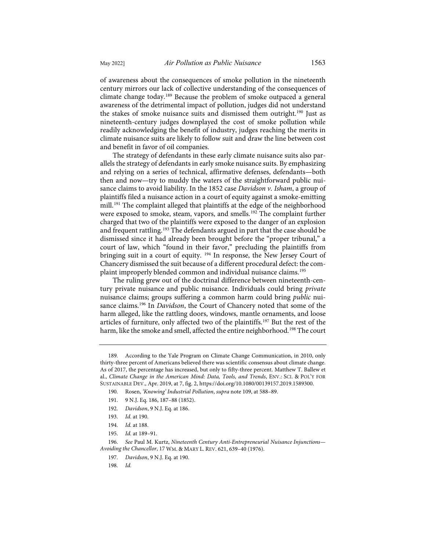of awareness about the consequences of smoke pollution in the nineteenth century mirrors our lack of collective understanding of the consequences of climate change today.[189](#page-28-0) Because the problem of smoke outpaced a general awareness of the detrimental impact of pollution, judges did not understand the stakes of smoke nuisance suits and dismissed them outright[.190](#page-28-1) Just as nineteenth-century judges downplayed the cost of smoke pollution while readily acknowledging the benefit of industry, judges reaching the merits in climate nuisance suits are likely to follow suit and draw the line between cost and benefit in favor of oil companies.

The strategy of defendants in these early climate nuisance suits also parallels the strategy of defendants in early smoke nuisance suits. By emphasizing and relying on a series of technical, affirmative defenses, defendants—both then and now—try to muddy the waters of the straightforward public nuisance claims to avoid liability. In the 1852 case *Davidson v. Isham*, a group of plaintiffs filed a nuisance action in a court of equity against a smoke-emitting mill.[191](#page-28-2) The complaint alleged that plaintiffs at the edge of the neighborhood were exposed to smoke, steam, vapors, and smells.<sup>[192](#page-28-3)</sup> The complaint further charged that two of the plaintiffs were exposed to the danger of an explosion and frequent rattling.<sup>[193](#page-28-4)</sup> The defendants argued in part that the case should be dismissed since it had already been brought before the "proper tribunal," a court of law, which "found in their favor," precluding the plaintiffs from bringing suit in a court of equity. [194](#page-28-5) In response, the New Jersey Court of Chancery dismissed the suit because of a different procedural defect: the complaint improperly blended common and individual nuisance claims.[195](#page-28-6)

The ruling grew out of the doctrinal difference between nineteenth-century private nuisance and public nuisance. Individuals could bring *private* nuisance claims; groups suffering a common harm could bring *public* nuisance claims.[196](#page-28-7) In *Davidson*, the Court of Chancery noted that some of the harm alleged, like the rattling doors, windows, mantle ornaments, and loose articles of furniture, only affected two of the plaintiffs.[197](#page-28-8) But the rest of the harm, like the smoke and smell, affected the entire neighborhood.<sup>[198](#page-28-9)</sup> The court

<span id="page-28-1"></span><span id="page-28-0"></span><sup>189.</sup> According to the Yale Program on Climate Change Communication, in 2010, only thirty-three percent of Americans believed there was scientific consensus about climate change. As of 2017, the percentage has increased, but only to fifty-three percent. Matthew T. Ballew et al., *Climate Change in the American Mind: Data, Tools, and Trends*, ENV.: SCI. & POL'Y FOR SUSTAINABLE DEV., Apr. 2019, at 7, fig. 2, [https://doi.org/10.1080/00139157.2019.1589300.](https://doi.org/10.1080/00139157.2019.1589300) 

<sup>190.</sup> Rosen, *'Knowing' Industrial Pollution*, *supra* not[e 109,](#page-18-10) at 588–89.

<sup>191. 9</sup> N.J. Eq. 186, 187–88 (1852).

<span id="page-28-2"></span><sup>192.</sup> *Davidson*, 9 N.J. Eq. at 186.

<sup>193.</sup> *Id.* at 190.

<sup>194.</sup> *Id.* at 188.

<sup>195.</sup> *Id.* at 189–91.

<span id="page-28-9"></span><span id="page-28-8"></span><span id="page-28-7"></span><span id="page-28-6"></span><span id="page-28-5"></span><span id="page-28-4"></span><span id="page-28-3"></span><sup>196.</sup> *See* Paul M. Kurtz, *Nineteenth Century Anti-Entrepreneurial Nuisance Injunctions— Avoiding the Chancellor*, 17 WM. & MARY L. REV. 621, 639–40 (1976).

<sup>197.</sup> *Davidson*, 9 N.J. Eq. at 190.

<sup>198.</sup> *Id.*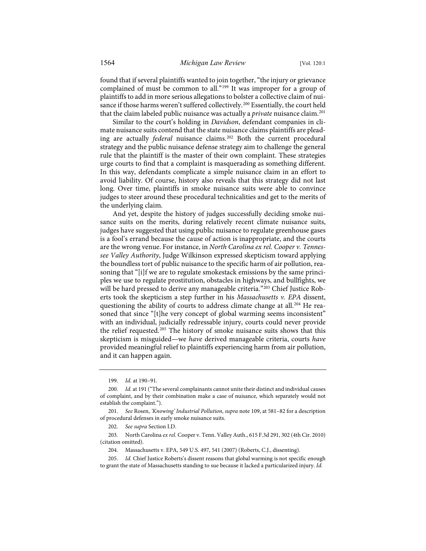found that if several plaintiffs wanted to join together, "the injury or grievance complained of must be common to all."[199](#page-29-0) It was improper for a group of plaintiffs to add in more serious allegations to bolster a collective claim of nui-sance if those harms weren't suffered collectively.<sup>[200](#page-29-1)</sup> Essentially, the court held that the claim labeled public nuisance was actually a *private* nuisance claim.[201](#page-29-2)

Similar to the court's holding in *Davidson*, defendant companies in climate nuisance suits contend that the state nuisance claims plaintiffs are pleading are actually *federal* nuisance claims.[202](#page-29-3) Both the current procedural strategy and the public nuisance defense strategy aim to challenge the general rule that the plaintiff is the master of their own complaint. These strategies urge courts to find that a complaint is masquerading as something different. In this way, defendants complicate a simple nuisance claim in an effort to avoid liability. Of course, history also reveals that this strategy did not last long. Over time, plaintiffs in smoke nuisance suits were able to convince judges to steer around these procedural technicalities and get to the merits of the underlying claim.

And yet, despite the history of judges successfully deciding smoke nuisance suits on the merits, during relatively recent climate nuisance suits, judges have suggested that using public nuisance to regulate greenhouse gases is a fool's errand because the cause of action is inappropriate, and the courts are the wrong venue. For instance, in *North Carolina ex rel. Cooper v. Tennessee Valley Authority*, Judge Wilkinson expressed skepticism toward applying the boundless tort of public nuisance to the specific harm of air pollution, reasoning that "[i]f we are to regulate smokestack emissions by the same principles we use to regulate prostitution, obstacles in highways, and bullfights, we will be hard pressed to derive any manageable criteria."[203](#page-29-4) Chief Justice Roberts took the skepticism a step further in his *Massachusetts v. EPA* dissent, questioning the ability of courts to address climate change at all.<sup>[204](#page-29-5)</sup> He reasoned that since "[t]he very concept of global warming seems inconsistent" with an individual, judicially redressable injury, courts could never provide the relief requested.<sup>[205](#page-29-6)</sup> The history of smoke nuisance suits shows that this skepticism is misguided—we *have* derived manageable criteria, courts *have* provided meaningful relief to plaintiffs experiencing harm from air pollution, and it can happen again.

<sup>199.</sup> *Id.* at 190–91.

<span id="page-29-1"></span><span id="page-29-0"></span><sup>200.</sup> *Id.* at 191 ("The several complainants cannot unite their distinct and individual causes of complaint, and by their combination make a case of nuisance, which separately would not establish the complaint.").

<span id="page-29-2"></span><sup>201.</sup> *See* Rosen, *'Knowing' Industrial Pollution*, *supra* not[e 109,](#page-18-10) at 581–82 for a description of procedural defenses in early smoke nuisance suits.

<sup>202.</sup> *See supra* Section I.D.

<span id="page-29-4"></span><span id="page-29-3"></span><sup>203.</sup> North Carolina *ex rel.* Cooper v. Tenn. Valley Auth., 615 F.3d 291, 302 (4th Cir. 2010) (citation omitted).

<sup>204.</sup> Massachusetts v. EPA, 549 U.S. 497, 541 (2007) (Roberts, C.J., dissenting).

<span id="page-29-6"></span><span id="page-29-5"></span>Id. Chief Justice Roberts's dissent reasons that global warming is not specific enough to grant the state of Massachusetts standing to sue because it lacked a particularized injury. *Id.*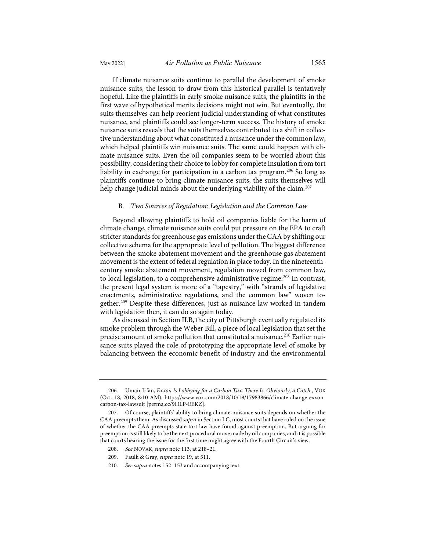If climate nuisance suits continue to parallel the development of smoke nuisance suits, the lesson to draw from this historical parallel is tentatively hopeful. Like the plaintiffs in early smoke nuisance suits, the plaintiffs in the first wave of hypothetical merits decisions might not win. But eventually, the suits themselves can help reorient judicial understanding of what constitutes nuisance, and plaintiffs could see longer-term success. The history of smoke nuisance suits reveals that the suits themselves contributed to a shift in collective understanding about what constituted a nuisance under the common law, which helped plaintiffs win nuisance suits. The same could happen with climate nuisance suits. Even the oil companies seem to be worried about this possibility, considering their choice to lobby for complete insulation from tort liability in exchange for participation in a carbon tax program.<sup>[206](#page-30-0)</sup> So long as plaintiffs continue to bring climate nuisance suits, the suits themselves will help change judicial minds about the underlying viability of the claim.<sup>[207](#page-30-1)</sup>

## B*. Two Sources of Regulation: Legislation and the Common Law*

Beyond allowing plaintiffs to hold oil companies liable for the harm of climate change, climate nuisance suits could put pressure on the EPA to craft stricter standards for greenhouse gas emissions under the CAA by shifting our collective schema for the appropriate level of pollution. The biggest difference between the smoke abatement movement and the greenhouse gas abatement movement is the extent of federal regulation in place today. In the nineteenthcentury smoke abatement movement, regulation moved from common law, to local legislation, to a comprehensive administrative regime.<sup>[208](#page-30-2)</sup> In contrast, the present legal system is more of a "tapestry," with "strands of legislative enactments, administrative regulations, and the common law" woven together[.209](#page-30-3) Despite these differences, just as nuisance law worked in tandem with legislation then, it can do so again today.

As discussed in Section II.B, the city of Pittsburgh eventually regulated its smoke problem through the Weber Bill, a piece of local legislation that set the precise amount of smoke pollution that constituted a nuisance.<sup>[210](#page-30-4)</sup> Earlier nuisance suits played the role of prototyping the appropriate level of smoke by balancing between the economic benefit of industry and the environmental

<span id="page-30-0"></span><sup>206.</sup> Umair Irfan, *Exxon Is Lobbying for a Carbon Tax. There Is, Obviously, a Catch.*, VOX (Oct. 18, 2018, 8:10 AM), [https://www.vox.com/2018/10/18/17983866/climate-change-exxon](https://www.vox.com/2018/10/18/17983866/climate-change-exxon-carbon-tax-lawsuit)[carbon-tax-lawsuit](https://www.vox.com/2018/10/18/17983866/climate-change-exxon-carbon-tax-lawsuit) [\[perma.cc/9HLP-EEKZ\]](https://perma.cc/9HLP-EEKZ).

<span id="page-30-2"></span><span id="page-30-1"></span><sup>207.</sup> Of course, plaintiffs' ability to bring climate nuisance suits depends on whether the CAA preempts them. As discussed *supra* in Section I.C, most courts that have ruled on the issue of whether the CAA preempts state tort law have found against preemption. But arguing for preemption is still likely to be the next procedural move made by oil companies, and it is possible that courts hearing the issue for the first time might agree with the Fourth Circuit's view.

<sup>208.</sup> *See* NOVAK, *supra* not[e 113,](#page-18-13) at 218–21.

<sup>209.</sup> Faulk & Gray, *supra* not[e 19,](#page-4-6) at 511.

<span id="page-30-4"></span><span id="page-30-3"></span><sup>210.</sup> *See supra* note[s 152](#page-22-11)[–153](#page-22-12) and accompanying text.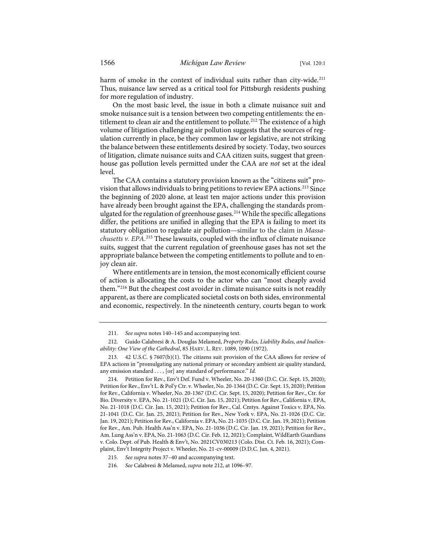harm of smoke in the context of individual suits rather than city-wide.<sup>[211](#page-31-1)</sup> Thus, nuisance law served as a critical tool for Pittsburgh residents pushing for more regulation of industry.

<span id="page-31-0"></span>On the most basic level, the issue in both a climate nuisance suit and smoke nuisance suit is a tension between two competing entitlements: the entitlement to clean air and the entitlement to pollute.<sup>212</sup> The existence of a high volume of litigation challenging air pollution suggests that the sources of regulation currently in place, be they common law or legislative, are not striking the balance between these entitlements desired by society. Today, two sources of litigation, climate nuisance suits and CAA citizen suits, suggest that greenhouse gas pollution levels permitted under the CAA are *not* set at the ideal level.

The CAA contains a statutory provision known as the "citizens suit" provision that allows individuals to bring petitions to review EPA actions.[213](#page-31-3) Since the beginning of 2020 alone, at least ten major actions under this provision have already been brought against the EPA, challenging the standards prom-ulgated for the regulation of greenhouse gases.<sup>[214](#page-31-4)</sup> While the specific allegations differ, the petitions are unified in alleging that the EPA is failing to meet its statutory obligation to regulate air pollution—similar to the claim in *Massachusetts v. EPA*. [215](#page-31-5) These lawsuits, coupled with the influx of climate nuisance suits, suggest that the current regulation of greenhouse gases has not set the appropriate balance between the competing entitlements to pollute and to enjoy clean air.

Where entitlements are in tension, the most economically efficient course of action is allocating the costs to the actor who can "most cheaply avoid them."[216](#page-31-6) But the cheapest cost avoider in climate nuisance suits is not readily apparent, as there are complicated societal costs on both sides, environmental and economic, respectively. In the nineteenth century, courts began to work

<sup>211.</sup> *See supra* note[s 140](#page-21-9)[–145](#page-22-13) and accompanying text.

<span id="page-31-2"></span><span id="page-31-1"></span><sup>212.</sup> Guido Calabresi & A. Douglas Melamed, *Property Rules, Liability Rules, and Inalienability: One View of the Cathedral*, 85 HARV. L. REV. 1089, 1090 (1972).

<span id="page-31-3"></span><sup>213. 42</sup> U.S.C. § 7607(b)(1). The citizens suit provision of the CAA allows for review of EPA actions in "promulgating any national primary or secondary ambient air quality standard, any emission standard . . . , [or] any standard of performance." *Id.*

<span id="page-31-4"></span><sup>214.</sup> Petition for Rev., Env't Def. Fund v. Wheeler, No. 20-1360 (D.C. Cir. Sept. 15, 2020); Petition for Rev., Env't L. & Pol'y Ctr. v. Wheeler, No. 20-1364 (D.C. Cir. Sept. 15, 2020); Petition for Rev., California v. Wheeler, No. 20-1367 (D.C. Cir. Sept. 15, 2020); Petition for Rev., Ctr. for Bio. Diversity v. EPA, No. 21-1021 (D.C. Cir. Jan. 15, 2021); Petition for Rev., California v. EPA, No. 21-1018 (D.C. Cir. Jan. 15, 2021); Petition for Rev., Cal. Cmtys. Against Toxics v. EPA, No. 21-1041 (D.C. Cir. Jan. 25, 2021); Petition for Rev., New York v. EPA, No. 21-1026 (D.C. Cir. Jan. 19, 2021); Petition for Rev., California v. EPA, No. 21-1035 (D.C. Cir. Jan. 19, 2021); Petition for Rev., Am. Pub. Health Ass'n v. EPA, No. 21-1036 (D.C. Cir. Jan. 19, 2021); Petition for Rev., Am. Lung Ass'n v. EPA, No. 21-1063 (D.C. Cir. Feb. 12, 2021); Complaint, WildEarth Guardians v. Colo. Dept. of Pub. Health & Env't, No. 2021CV030213 (Colo. Dist. Ct. Feb. 16, 2021); Complaint, Env't Integrity Project v. Wheeler, No. 21-cv-00009 (D.D.C. Jan. 4, 2021).

<span id="page-31-5"></span><sup>215.</sup> *See supra* note[s 37](#page-7-9)[–40](#page-8-11) and accompanying text.

<span id="page-31-6"></span><sup>216.</sup> *See* Calabresi & Melamed, *supra* not[e 212,](#page-31-0) at 1096–97.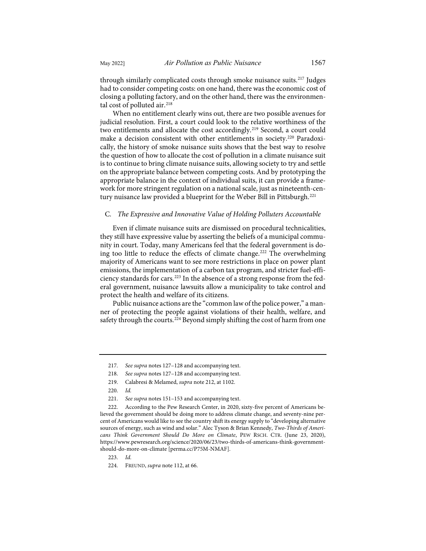through similarly complicated costs through smoke nuisance suits.<sup>[217](#page-32-0)</sup> Judges had to consider competing costs: on one hand, there was the economic cost of closing a polluting factory, and on the other hand, there was the environmen-tal cost of polluted air.<sup>[218](#page-32-1)</sup>

When no entitlement clearly wins out, there are two possible avenues for judicial resolution. First, a court could look to the relative worthiness of the two entitlements and allocate the cost accordingly.[219](#page-32-2) Second, a court could make a decision consistent with other entitlements in society[.220](#page-32-3) Paradoxically, the history of smoke nuisance suits shows that the best way to resolve the question of how to allocate the cost of pollution in a climate nuisance suit is to continue to bring climate nuisance suits, allowing society to try and settle on the appropriate balance between competing costs. And by prototyping the appropriate balance in the context of individual suits, it can provide a framework for more stringent regulation on a national scale, just as nineteenth-cen-tury nuisance law provided a blueprint for the Weber Bill in Pittsburgh.<sup>[221](#page-32-4)</sup>

## C*. The Expressive and Innovative Value of Holding Polluters Accountable*

Even if climate nuisance suits are dismissed on procedural technicalities, they still have expressive value by asserting the beliefs of a municipal community in court. Today, many Americans feel that the federal government is doing too little to reduce the effects of climate change.[222](#page-32-5) The overwhelming majority of Americans want to see more restrictions in place on power plant emissions, the implementation of a carbon tax program, and stricter fuel-effi-ciency standards for cars.<sup>[223](#page-32-6)</sup> In the absence of a strong response from the federal government, nuisance lawsuits allow a municipality to take control and protect the health and welfare of its citizens.

Public nuisance actions are the "common law of the police power," a manner of protecting the people against violations of their health, welfare, and safety through the courts.<sup>[224](#page-32-7)</sup> Beyond simply shifting the cost of harm from one

<sup>217.</sup> *See supra* note[s 127](#page-20-12)[–128](#page-20-13) and accompanying text.

<sup>218.</sup> *See supra* note[s 127](#page-20-12)[–128](#page-20-13) and accompanying text.

<sup>219.</sup> Calabresi & Melamed, *supra* not[e 212,](#page-31-0) at 1102.

<sup>220.</sup> *Id.*

<sup>221.</sup> *See supra* note[s 151](#page-22-14)[–153](#page-22-12) and accompanying text.

<span id="page-32-5"></span><span id="page-32-4"></span><span id="page-32-3"></span><span id="page-32-2"></span><span id="page-32-1"></span><span id="page-32-0"></span><sup>222.</sup> According to the Pew Research Center, in 2020, sixty-five percent of Americans believed the government should be doing more to address climate change, and seventy-nine percent of Americans would like to see the country shift its energy supply to "developing alternative sources of energy, such as wind and solar." Alec Tyson & Brian Kennedy, *Two-Thirds of Americans Think Government Should Do More on Climate*, PEW RSCH. CTR. (June 23, 2020), [https://www.pewresearch.org/science/2020/06/23/two-thirds-of-americans-think-government](https://www.pewresearch.org/science/2020/06/23/two-thirds-of-americans-think-government-should-do-more-on-climate/)[should-do-more-on-climate](https://www.pewresearch.org/science/2020/06/23/two-thirds-of-americans-think-government-should-do-more-on-climate/) [\[perma.cc/P75M-NMAF\]](https://perma.cc/P75M-NMAF).

<span id="page-32-6"></span><sup>223.</sup> *Id.*

<span id="page-32-7"></span><sup>224.</sup> FREUND, *supra* not[e 112,](#page-18-12) at 66.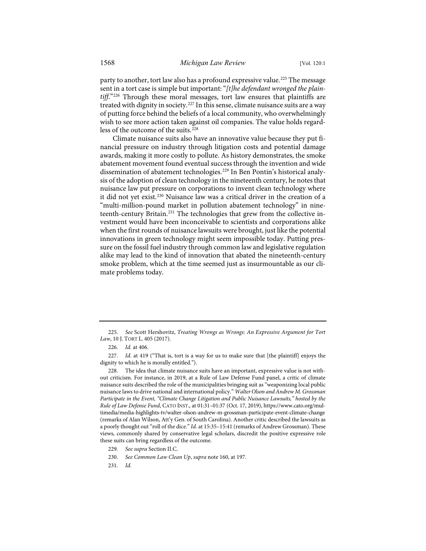party to another, tort law also has a profound expressive value.<sup>[225](#page-33-0)</sup> The message sent in a tort case is simple but important: "*[t]he defendant wronged the plaintiff*."[226](#page-33-1) Through these moral messages, tort law ensures that plaintiffs are treated with dignity in society.[227](#page-33-2) In this sense, climate nuisance suits are a way of putting force behind the beliefs of a local community, who overwhelmingly wish to see more action taken against oil companies. The value holds regard-less of the outcome of the suits.<sup>[228](#page-33-3)</sup>

Climate nuisance suits also have an innovative value because they put financial pressure on industry through litigation costs and potential damage awards, making it more costly to pollute. As history demonstrates, the smoke abatement movement found eventual success through the invention and wide dissemination of abatement technologies.[229](#page-33-4) In Ben Pontin's historical analysis of the adoption of clean technology in the nineteenth century, he notes that nuisance law put pressure on corporations to invent clean technology where it did not yet exist.<sup>[230](#page-33-5)</sup> Nuisance law was a critical driver in the creation of a "multi-million-pound market in pollution abatement technology" in nine-teenth-century Britain.<sup>[231](#page-33-6)</sup> The technologies that grew from the collective investment would have been inconceivable to scientists and corporations alike when the first rounds of nuisance lawsuits were brought, just like the potential innovations in green technology might seem impossible today. Putting pressure on the fossil fuel industry through common law and legislative regulation alike may lead to the kind of innovation that abated the nineteenth-century smoke problem, which at the time seemed just as insurmountable as our climate problems today.

<span id="page-33-6"></span><span id="page-33-5"></span>231. *Id.*

<span id="page-33-0"></span><sup>225.</sup> *See* Scott Hershovitz, *Treating Wrongs as Wrongs: An Expressive Argument for Tort Law*, 10 J. TORT L. 405 (2017).

<sup>226.</sup> *Id.* at 406.

<span id="page-33-2"></span><span id="page-33-1"></span><sup>227.</sup> *Id.* at 419 ("That is, tort is a way for us to make sure that [the plaintiff] enjoys the dignity to which he is morally entitled.").

<span id="page-33-3"></span>The idea that climate nuisance suits have an important, expressive value is not without criticism. For instance, in 2019, at a Rule of Law Defense Fund panel, a critic of climate nuisance suits described the role of the municipalities bringing suit as "weaponizing local public nuisance laws to drive national and international policy." *Walter Olson and Andrew M. Grossman Participate in the Event, "Climate Change Litigation and Public Nuisance Lawsuits," hosted by the Rule of Law Defense Fund*, CATO INST., at 01:31–01:37 (Oct. 17, 2019), [https://www.cato.org/mul](https://www.cato.org/multimedia/media-highlights-tv/walter-olson-andrew-m-grossman-participate-event-climate-change)[timedia/media-highlights-tv/walter-olson-andrew-m-grossman-participate-event-climate-change](https://www.cato.org/multimedia/media-highlights-tv/walter-olson-andrew-m-grossman-participate-event-climate-change) (remarks of Alan Wilson, Att'y Gen. of South Carolina). Another critic described the lawsuits as a poorly thought out "roll of the dice." *Id.* at 15:35–15:41 (remarks of Andrew Grossman). These views, commonly shared by conservative legal scholars, discredit the positive expressive role these suits can bring regardless of the outcome.

<span id="page-33-4"></span><sup>229.</sup> *See supra* Section II.C.

<sup>230.</sup> *See Common Law Clean Up*, *supra* not[e 160,](#page-24-1) at 197.